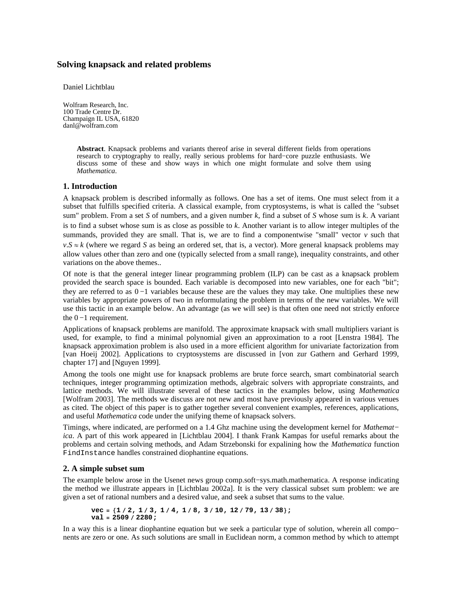# **Solving knapsack and related problems**

Daniel Lichtblau

Wolfram Research, Inc. 100 Trade Centre Dr. Champaign IL USA, 61820 danl@wolfram.com

> **Abstract**. Knapsack problems and variants thereof arise in several different fields from operations research to cryptography to really, really serious problems for hard−core puzzle enthusiasts. We discuss some of these and show ways in which one might formulate and solve them using *Mathematica*.

### **1. Introduction**

A knapsack problem is described informally as follows. One has a set of items. One must select from it a subset that fulfills specified criteria. A classical example, from cryptosystems, is what is called the "subset sum" problem. From a set *S* of numbers, and a given number *k*, find a subset of *S* whose sum is *k*. A variant is to find a subset whose sum is as close as possible to *k*. Another variant is to allow integer multiples of the summands, provided they are small. That is, we are to find a componentwise "small" vector  $\nu$  such that  $v.S \approx k$  (where we regard *S* as being an ordered set, that is, a vector). More general knapsack problems may allow values other than zero and one (typically selected from a small range), inequality constraints, and other variations on the above themes..

Of note is that the general integer linear programming problem (ILP) can be cast as a knapsack problem provided the search space is bounded. Each variable is decomposed into new variables, one for each "bit"; they are referred to as 0 −1 variables because these are the values they may take. One multiplies these new variables by appropriate powers of two in reformulating the problem in terms of the new variables. We will use this tactic in an example below. An advantage (as we will see) is that often one need not strictly enforce the  $0 - 1$  requirement.

Applications of knapsack problems are manifold. The approximate knapsack with small multipliers variant is used, for example, to find a minimal polynomial given an approximation to a root [Lenstra 1984]. The knapsack approximation problem is also used in a more efficient algorithm for univariate factorization from [van Hoeij 2002]. Applications to cryptosystems are discussed in [von zur Gathern and Gerhard 1999, chapter 17] and [Nguyen 1999].

Among the tools one might use for knapsack problems are brute force search, smart combinatorial search techniques, integer programming optimization methods, algebraic solvers with appropriate constraints, and lattice methods. We will illustrate several of these tactics in the examples below, using *Mathematica* [Wolfram 2003]. The methods we discuss are not new and most have previously appeared in various venues as cited. The object of this paper is to gather together several convenient examples, references, applications, and useful *Mathematica* code under the unifying theme of knapsack solvers.

Timings, where indicated, are performed on a 1.4 Ghz machine using the development kernel for *Mathemat− ica*. A part of this work appeared in [Lichtblau 2004]. I thank Frank Kampas for useful remarks about the problems and certain solving methods, and Adam Strzebonski for expalining how the *Mathematica* function FindInstance handles constrained diophantine equations.

### **2. A simple subset sum**

The example below arose in the Usenet news group comp.soft−sys.math.mathematica. A response indicating the method we illustrate appears in [Lichtblau 2002a]. It is the very classical subset sum problem: we are given a set of rational numbers and a desired value, and seek a subset that sums to the value.

**vec = 81 2, 1 3, 1 4, 1 8, 3 10, 12 79, 13 38<; val = 2509 2280;**

In a way this is a linear diophantine equation but we seek a particular type of solution, wherein all compo− nents are zero or one. As such solutions are small in Euclidean norm, a common method by which to attempt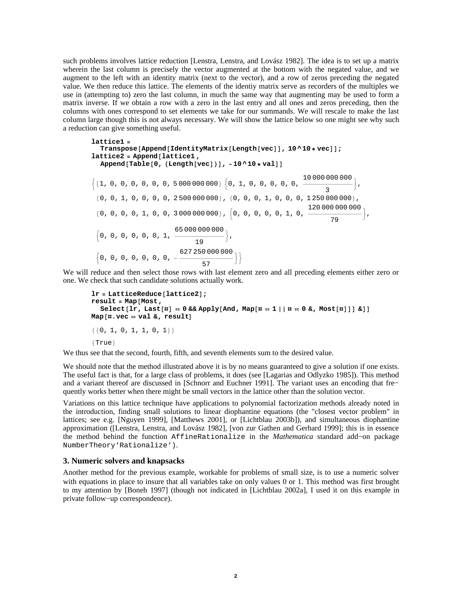such problems involves lattice reduction [Lenstra, Lenstra, and Lovász 1982]. The idea is to set up a matrix wherein the last column is precisely the vector augmented at the bottom with the negated value, and we augment to the left with an identity matrix (next to the vector), and a row of zeros preceding the negated value. We then reduce this lattice. The elements of the identiy matrix serve as recorders of the multiples we use in (attempting to) zero the last column, in much the same way that augmenting may be used to form a matrix inverse. If we obtain a row with a zero in the last entry and all ones and zeros preceding, then the columns with ones correspond to set elements we take for our summands. We will rescale to make the last column large though this is not always necessary. We will show the lattice below so one might see why such a reduction can give something useful.

```
lattice1 =
   \texttt{Transpose} [Append [IdentityMatrix [Length [vec]], 10 ^ 10 * vec]];
lattice2 = Append@lattice1 ,
   \frac{1}{2}Append [Table<sup>[0</sup>, {Length[vec]}], -10 ^ 10 * val]]
:81, 0, 0, 0, 0, 0, 0, 5 000 000 000< :0, 1, 0, 0, 0, 0, 0,
10 000 000 000
                                                                                 \frac{1}{3},
 {0, 0, 1, 0, 0, 0, 0, 250000000}, {0, 0, 0, 1, 0, 0, 0, 1250000000},\{0, 0, 0, 0, 1, 0, 0, 3\,000\,000\,000\}, \{0, 0, 0, 0, 0, 1, 0, \frac{120\,000\,000\,000}{\sqrt{2.55}}\}\frac{1}{79},
  \Big\{0\,,\ 0\,,\ 0\,,\ 0\,,\ 0\,,\ 0\,,\ 0\,,\ 1\,,\ \frac{65\,000\,000\,000}{\sqrt{25}}\frac{1}{19},
  :0, 0, 0, 0, 0, 0, 0, -
627 250 000 000
                                       \frac{1}{57}}
```
We will reduce and then select those rows with last element zero and all preceding elements either zero or one. We check that such candidate solutions actually work.

```
\text{lr} = \text{LatticeReduce}[\text{lattice2}];result = Map@Most,
    \text{Select}[\text{lr}, \text{Last}[\texttt{#}] = 0 \& \text{Apply}[\text{And}, \text{Map}[\texttt{#} = 1 | \text{ #} = 0 \& \text{Most}[\texttt{#}]] \& \text{]]}Map[#.vec = val &, result
\{ \{0, 1, 0, 1, 1, 0, 1 \} \}{True}
```
We thus see that the second, fourth, fifth, and seventh elements sum to the desired value.

We should note that the method illustrated above it is by no means guaranteed to give a solution if one exists. The useful fact is that, for a large class of problems, it does (see [Lagarias and Odlyzko 1985]). This method and a variant thereof are discussed in [Schnorr and Euchner 1991]. The variant uses an encoding that fre− quently works better when there might be small vectors in the lattice other than the solution vector.

Variations on this lattice technique have applications to polynomial factorization methods already noted in the introduction, finding small solutions to linear diophantine equations (the "closest vector problem" in lattices; see e.g. [Nguyen 1999], [Matthews 2001], or [Lichtblau 2003b]), and simultaneous diophantine approximation ([Lenstra, Lenstra, and Lovász 1982], [von zur Gathen and Gerhard 1999]; this is in essence the method behind the function AffineRationalize in the *Mathematica* standard add−on package NumberTheory'Rationalize').

## **3. Numeric solvers and knapsacks**

Another method for the previous example, workable for problems of small size, is to use a numeric solver with equations in place to insure that all variables take on only values 0 or 1. This method was first brought to my attention by [Boneh 1997] (though not indicated in [Lichtblau 2002a], I used it on this example in private follow−up correspondence).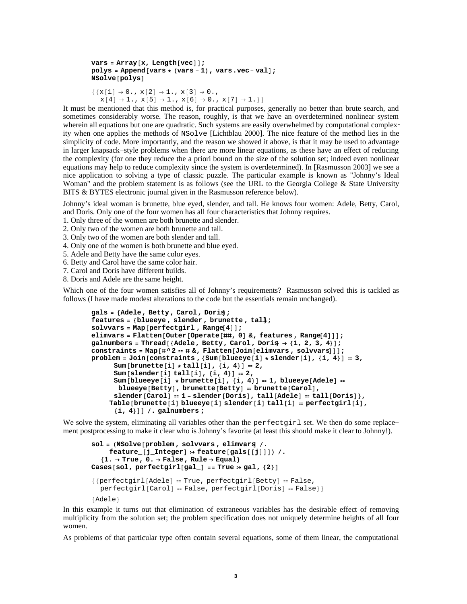```
vars = Array[x, Length[vec]];
polys = Appendix 4 \text{[vars + (vars -1), vars + (vars -1)}NSolve<sup>[polys]</sup>
```

```
{x[1] \to 0., x[2] \to 1., x[3] \to 0.,}x[4] \rightarrow 1., x[5] \rightarrow 1., x[6] \rightarrow 0., x[7] \rightarrow 1.}
```
It must be mentioned that this method is, for practical purposes, generally no better than brute search, and sometimes considerably worse. The reason, roughly, is that we have an overdetermined nonlinear system wherein all equations but one are quadratic. Such systems are easily overwhelmed by computational complex− ity when one applies the methods of NSolve [Lichtblau 2000]. The nice feature of the method lies in the simplicity of code. More importantly, and the reason we showed it above, is that it may be used to advantage in larger knapsack−style problems when there are more linear equations, as these have an effect of reducing the complexity (for one they reduce the a priori bound on the size of the solution set; indeed even nonlinear equations may help to reduce complexity since the system is overdetermined). In [Rasmusson 2003] we see a nice application to solving a type of classic puzzle. The particular example is known as "Johnny's Ideal Woman" and the problem statement is as follows (see the URL to the Georgia College & State University BITS & BYTES electronic journal given in the Rasmusson reference below).

Johnny's ideal woman is brunette, blue eyed, slender, and tall. He knows four women: Adele, Betty, Carol, and Doris. Only one of the four women has all four characteristics that Johnny requires.

1. Only three of the women are both brunette and slender.

2. Only two of the women are both brunette and tall.

3. Only two of the women are both slender and tall.

4. Only one of the women is both brunette and blue eyed.

5. Adele and Betty have the same color eyes.

6. Betty and Carol have the same color hair.

7. Carol and Doris have different builds.

8. Doris and Adele are the same height.

Which one of the four women satisfies all of Johnny's requirements? Rasmusson solved this is tackled as follows (I have made modest alterations to the code but the essentials remain unchanged).

```
gals = 8Adele, Betty, Carol, Doris<;
features = 8blueeye , slender , brunette , tall<;
solvvars = Map[perfectgirl, Range[4]];
elimvars = Flatten[Outer[Operate[##, 0] &, features, Range[4]]];
galnumbers = Thread[{Adele, Betty, Carol, Doris} \rightarrow {1, 2, 3, 4}];
constraints = \text{Map}[\text{\#}^{\wedge} 2 = \text{\#} \&, \text{Flatten}[\text{Join}[\text{elimvars}, \text{solvvars}]];
problem = Join[constraints , {Sum[blueeye[i] * slender[i], {i, 4}] = 3,
       Sum[brunctte[i] * tall[i], {i, 4}] = 2,Sum[slender[i] tail[i], {i, 4}] = 2,Sum[b \cdot \text{log}[i] \cdot \text{krum}[\text{t}][i], \{i, 4\}] = 1, \text{blueeye}[\text{Adele}] = 1blueeye<sup>[Betty]</sup>, brunette<sup>[Betty]</sup> = brunette<sup>[Carol</sup>],
       \mathbf{S} lender [Carol] \mathbf{r} 1 - \mathbf{s} lender [Doris], \mathbf{r} tall [Doris] \mathbf{r},
     Table[brunette[i] blueeye[i] slender[i] tall[i] == perfectgirl[i],
       8i, 4<DD . galnumbers ;
```
We solve the system, eliminating all variables other than the perfectgirl set. We then do some replace− ment postprocessing to make it clear who is Johnny's favorite (at least this should make it clear to Johnny!).

```
sol = HNSolve@problem , solvvars , elimvarsD .
      \text{feature}[\text{j}_\text{}</math>Integer] <math>\Rightarrow</math> <math>\text{feature}[\text{gals}[[\text{j}]]]) /.
   {1. \rightarrow True, 0. \rightarrow False, Rule \rightarrow Equal}\text{Cases} [sol, perfectgirl[gal_] == \text{True} \div gal, {2}]
{perfectgirl[Adele] = True, perfectly[Between] = False}perfect girl[Carol] = False, perfect girl[Carol]8Adele<
```
In this example it turns out that elimination of extraneous variables has the desirable effect of removing multiplicity from the solution set; the problem specification does not uniquely determine heights of all four women.

As problems of that particular type often contain several equations, some of them linear, the computational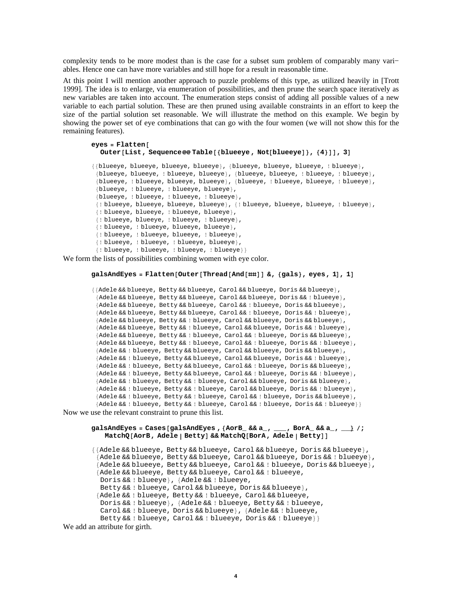complexity tends to be more modest than is the case for a subset sum problem of comparably many vari− ables. Hence one can have more variables and still hope for a result in reasonable time.

At this point I will mention another approach to puzzle problems of this type, as utilized heavily in [Trott 1999]. The idea is to enlarge, via enumeration of possibilities, and then prune the search space iteratively as new variables are taken into account. The enumeration steps consist of adding all possible values of a new variable to each partial solution. These are then pruned using available constraints in an effort to keep the size of the partial solution set reasonable. We will illustrate the method on this example. We begin by showing the power set of eye combinations that can go with the four women (we will not show this for the remaining features).

# $eyes =$  **Flatten**<sup>[</sup> **Outer@List, Sequence Table@8blueeye , Not@blueeyeD<, 84<DD, 3D** 88blueeye, blueeye, blueeye, blueeye<, 8blueeye, blueeye, blueeye, ! blueeye<,

```
{blueeye, blueeye, ! blueeye, blueeye}, {blueeye, blueeye, ! blueeye}, ! blueeye},
{blueeye, ! blueeye, blueeye, blueeye}, {blueeye, ! blueeye, e blueeye},
{blueeye, ! blueeye, ! blueeye, blueeye},
{blueeye, ! blueeye, ! blueeye, ! blueeye},
8! blueeye, blueeye, blueeye, blueeye<, 8! blueeye, blueeye, blueeye, ! blueeye<,
{! blueeye, blueeye, ! blueeye, blueeye},
8! blueeye, blueeye, ! blueeye, ! blueeye<,
{! blueeye, ! blueeye, blueeye, blueeye},
{! blueeye, ! blueeye, blueeye, ! blueeye},
{! blueeye, ! blueeye, ! blueeye, blueeye},
{! blueeye, ! blueeye, ! blueeye, ! blueeye}}
```
We form the lists of possibilities combining women with eye color.

### $g$ alsAndEyes =  $F$ latten $[Outer[Thread[And[Hint]] \&, {g}]$   $g$   $[gals]$ , eyes, 1 $[1, 1]$

```
{{Adele && blueeye, Betty && blueeye, Carol && blueeye, Doris && blueeye},
 {Adele && blueeye, Betty && blueeye, Carol && blueeye, Doris && ! blueeye},
 {Adele && blueeye, Betty && blueeye, Carol && ! blueeye, Doris && blueeye},
{Adele && blueeye, Betty && blueeye, Carol && ! blueeye, Doris && ! blueeye},
{Adele && blueeye, Betty && ! blueeye, Carol && blueeye, Doris && blueeye},
{Adele && blueeye, Betty && ! blueeye, Carol && blueeye, Doris && ! blueeye},
 {Adele && blueeye, Betty && ! blueeye, Carol && ! blueeye, Doris && blueeye},
 {Adele && blueeye, Betty && ! blueeye, Carol && ! blueeye, Doris && ! blueeye},
 {Adele && ! blueeye, Betty && blueeye, Carol && blueeye, Doris && blueeye},
 {Adele && ! blueeye, Betty && blueeye, Carol && blueeye, Doris && ! blueeye},
 {Adele && ! blueeye, Betty && blueeye, Carol && ! blueeye, Doris && blueeye},
 {Adele && ! blueeye, Betty && blueeye, Carol && ! blueeye, Doris && ! blueeye},
 {Adele && ! blueeye, Betty && ! blueeye, Carol && blueeye, Doris && blueeye},
 {Adele && ! blueeye, Betty && ! blueeye, Carol && blueeye, Doris && ! blueeye},
{Adele && ! blueeye, Betty && ! blueeye, Carol && ! blueeye, Doris && blueeye},
 8Adele && ! blueeye, Betty && ! blueeye, Carol && ! blueeye, Doris && ! blueeye<<
```
Now we use the relevant constraint to prune this list.

#### **galsAndEyes = Cases@galsAndEyes ,8AorB\_ && a\_, \_\_\_, BorA\_ && a\_, \_\_\_< ;**  $MatchQ[AorB, Adele | Betty] & \& MatchQ[BorA, Adele | Betty]]$

{{Adele && blueeye, Betty && blueeye, Carol && blueeye, Doris && blueeye}, {Adele && blueeye, Betty && blueeye, Carol && blueeye, Doris && ! blueeye}, {Adele && blueeye, Betty && blueeye, Carol && ! blueeye, Doris && blueeye}, {Adele && blueeye, Betty && blueeye, Carol && ! blueeye, Doris && ! blueeye}, {Adele && ! blueeye, Betty && ! blueeye, Carol && blueeye, Doris && blueeye}, 8Adele && ! blueeye, Betty && ! blueeye, Carol && blueeye, Doris && ! blueeye}, {Adele && ! blueeye, Betty && ! blueeye, Carol && ! blueeye, Doris && blueeye}, {Adele && ! blueeye, Betty && ! blueeye, Carol && ! blueeye, Doris && ! blueeye}}

We add an attribute for girth.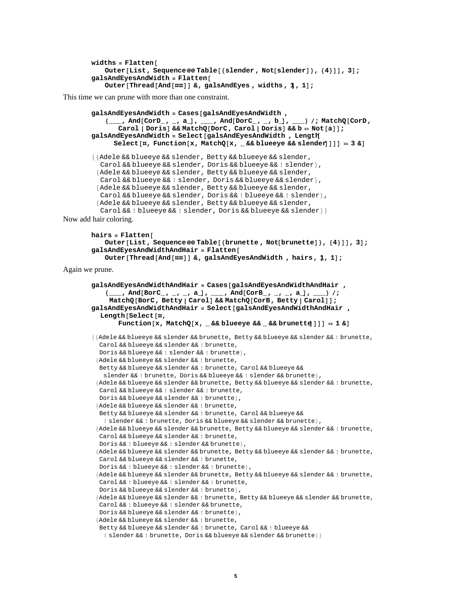```
widths = Flatten[\text{Outer}[\text{List}, \text{Sequence} @ @ \text{Table}[\text{{}} \{\text{ slender}, \text{Not}[\text{sender}]\}, \{\{4\}\}], 3];
galsAndEyesAndWidth = Flatten@
    Outer[Thread<sup>[And[##]] &, galsAndEyes, widths, 1, 1];</sup>
```
This time we can prune with more than one constraint.

```
galsAndEyesAndWidth = Cases@galsAndEyesAndWidth ,
            8___, And@CorD_, _, a_D, ___, And@DorC_, _, b_D, ___< ; MatchQ@CorD,
               Carol | Doris] && MatchQ[DorC, Carol | Doris] && b == Not[a]];
       galsAndEyesAndWidth = Select@galsAndEyesAndWidth , Length@
              S^{e}B. Function<sup>[x, \text{MatchQ}[x, -\&&\text{blue}y\&&\text{green}y\&\text{blue}y]]] = 3 &</sup>
        {{Adele && blueeye && slender, Betty && blueeye && slender,
          Carol && blueeye && slender, Doris && blueeye && ! slender },
         {Adele && blueeye && slender, Betty && blueeye && slender,
          Carol && blueeye && ! slender, Doris && blueeye && slender },
         {Adele && blueeye && slender, Betty && blueeye && slender,
          Carol && blueeye && slender, Doris &&! blueeye &&! slender },
         {Adele && blueeye && slender, Betty && blueeye && slender,
          Carol && ! blueeye && ! slender, Doris && blueeye && slender } }
Now add hair coloring.
```

```
hairs = Flatten<sup>[</sup>
   Outer@List, Sequence Table@8brunette , Not@brunetteD<, 84<DD, 3D;
galsAndEyesAndWidthAndHair = Flatten@
   Outer@Thread@And@ððDD &, galsAndEyesAndWidth , hairs, 1D, 1D;
```
Again we prune.

```
galsAndEyesAndWidthAndHair = Cases@galsAndEyesAndWidthAndHair ,
    8___, And@BorC_, _, _, a_D, ___, And@CorB_, _, _, a_D, ___< ;
     MatchQ@BorC, Betty CarolD && MatchQ@CorB, Betty CarolDD;
galsAndEyesAndWidthAndHair = Select@galsAndEyesAndWidthAndHair ,
  Length@Select@ð,
        Function\begin{bmatrix} x \\ y \end{bmatrix}, MatchQ\begin{bmatrix} x \\ z \end{bmatrix} _ && blueeye && _ && brunette\begin{bmatrix} 1 \\ 2 \end{bmatrix} ] = 1 &
88Adele && blueeye && slender && brunette, Betty && blueeye && slender && ! brunette,
  Carol && blueeye && slender && ! brunette,
  Doris && blueeye && ! slender && ! brunette},
 8Adele && blueeye && slender && ! brunette,
  Betty && blueeye && slender && ! brunette, Carol && blueeye &&
   slender && ! brunette, Doris && blueeye && ! slender && brunette},
 8Adele && blueeye && slender && brunette, Betty && blueeye && slender && ! brunette,
  Carol && blueeye && ! slender && ! brunette,
  Doris && blueeye && slender && ! brunette},
 {Adele && blueeye && slender && ! brunette,
  Betty && blueeye && slender && ! brunette, Carol && blueeye &&
   ! slender & & ! brunette, Doris & & blueeye & & slender & & brunette },
 8Adele && blueeye && slender && brunette, Betty && blueeye && slender && ! brunette,
  Carol && blueeye && slender && ! brunette,
  Doris && ! blueeye && ! slender && brunette},
 8Adele && blueeye && slender && brunette, Betty && blueeye && slender && ! brunette,
  Carol && blueeye && slender && ! brunette,
  Doris && ! blueeye && ! slender && ! brunette},
 8Adele && blueeye && slender && brunette, Betty && blueeye && slender && ! brunette,
  Carol && ! blueeye && ! slender && ! brunette,
  Doris && blueeye && slender && ! brunette},
 8Adele && blueeye && slender && ! brunette, Betty && blueeye && slender && brunette,
  Carol && ! blueeye && ! slender && brunette,
  Doris && blueeye && slender && ! brunette},
 {Adele && blueeye && slender && ! brunette,
  Betty && blueeye && slender && ! brunette, Carol && ! blueeye &&
   ! slender && ! brunette, Doris && blueeye && slender && brunette}}
```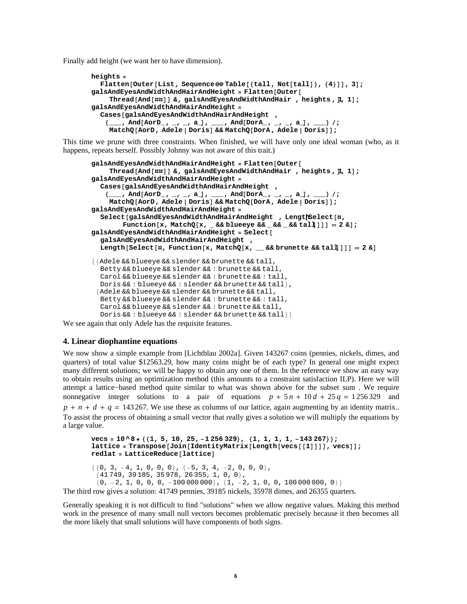Finally add height (we want her to have dimension).

```
heights =
  Flatten[Outer[List, Sequence@@Table<sup>[{tall</sup>, Not[tall]}, {4}]], 3];
galsAndEyesAndWidthAndHairAndHeight = Flatten[Outer]Thread[And<sup>[##]</sup>] &, galsAndEyesAndWidthAndHair, heights, \mu, 1];
galsAndEyesAndWidthAndHairAndHeight =
  Cases@galsAndEyesAndWidthAndHairAndHeight ,
    \{ ___, And<br>[AorD_, _, _, a_], ___, And<br>[DorA_, _, _, a_], _____} /;
     MatchQ@AorD, Adele DorisD && MatchQ@DorA, Adele DorisDD;
```
This time we prune with three constraints. When finished, we will have only one ideal woman (who, as it happens, repeats herself. Possibly Johnny was not aware of this trait.)

```
galsAndEyesAndWidthAndHairAndHeight = Flatten[Outer]Thread [And [##] ] &, galsAndEyesAndWidthAndHair, heights, \mu, 1];
galsAndEyesAndWidthAndHairAndHeight =
  Cases@galsAndEyesAndWidthAndHairAndHeight ,
    \{ ___, And [AorD_, _, _, a_], ___, And [DorA_, _, _, a_], ____} /;
     \text{MatchQ}[\text{AorD, Adele} | \text{Doris}] && \text{MatchQ}[\text{DorA, Adele} | \text{Doris}];
galsAndEyesAndWidthAndHairAndHeight =
  Select@galsAndEyesAndWidthAndHairAndHeight , Length@Select@ð,
         Function@x, MatchQ@x, _ && blueeye && _ && _ && tallDDDD  2 &D;
galsAndEyesAndWidthAndHairAndHeight = Select@
  galsAndEyesAndWidthAndHairAndHeight ,
  \text{Length}[\text{Select}[\text{#}, \text{Function}[x, \text{MatchQ}[x, \_\_\& \& \text{branchE} \& \text{call}]]]] = 2 \& \text{otherwise}{{Adele && blueeye && slender && brunette && tall,
  Betty && blueeye && slender && ! brunette && tall,
  Carol && blueeye && slender && ! brunette && ! tall,
  Doris && ! blueeye && ! slender && brunette && tall },
 {Adele && blueeye && slender && brunette && tall,
  Betty && blueeye && slender && ! brunette && ! tall,
  Carol && blueeye && slender && ! brunette && tall,
  Doris && ! blueeye && ! slender && brunette && tall}}
```
We see again that only Adele has the requisite features.

### **4. Linear diophantine equations**

We now show a simple example from [Lichtblau 2002a]. Given 143267 coins (pennies, nickels, dimes, and quarters) of total value \$12563.29, how many coins might be of each type? In general one might expect many different solutions; we will be happy to obtain any one of them. In the reference we show an easy way to obtain results using an optimization method (this amounts to a constraint satisfaction ILP). Here we will attempt a lattice−based method quite similar to what was shown above for the subset sum . We require nonnegative integer solutions to a pair of equations  $p + 5n + 10d + 25q = 1256329$  and  $p + n + d + q = 143267$ . We use these as columns of our lattice, again augmenting by an identity matrix.. To assist the process of obtaining a small vector that really gives a solution we will multiply the equations by a large value.

```
vecs = 10 ^ 8 * { {1, 5, 10, 25, -1 256 329}, {1, 1, 1, 1, -143 267}};
l lattice = \text{Transpose} [Join [IdentityMatrix [Length [vecs [[1]]]], vecs]];
redlat = LatticeReduce[lattice]
```
 $\{\{0\, ,\, 3\, ,\, -4\, ,\, 1\, ,\, 0\, ,\, 0\, ,\, 0\} \, ,\, \{-5\, ,\, 3\, ,\, 4\, ,\, -2\, ,\, 0\, ,\, 0\, ,\, 0\} \, ,$  ${41749, 39185, 35978, 26355, 1, 0, 0}$  ${0, -2, 1, 0, 0, 0, -10000000}$ ,  ${1, -2, 1, 0, 0, 10000000, 0}$ The third row gives a solution: 41749 pennies, 39185 nickels, 35978 dimes, and 26355 quarters.

Generally speaking it is not difficult to find "solutions" when we allow negative values. Making this method work in the presence of many small null vectors becomes problematic precisely because it then becomes all the more likely that small solutions will have components of both signs.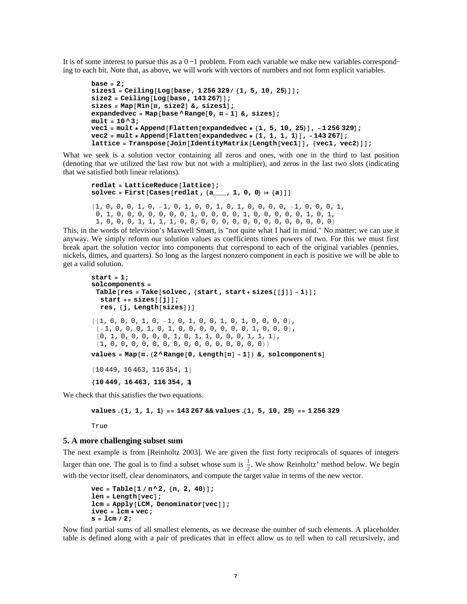It is of some interest to pursue this as a 0 −1 problem. From each variable we make new variables correspond− ing to each bit. Note that, as above, we will work with vectors of numbers and not form explicit variables.

```
base = 2;
sizes1 = Ceiling[Log[base, 1256329 / {1, 5, 10, 25}]size2 = Ceiling[Log[base, 143 267]];sizes = Map@Min@ð, size2D &, sizes1D;
expandedvec = Map[base \land Range[0, #-1] &, sizes];
mult = 10 ^ 3;
vec1 = mult * Append@Flatten@expandedvec * 81, 5, 10, 25<D, -1 256 329D;
vec{r} = mult * Appendix  Flatten [expandedvec * {1, 1, 1, 1}], -143 267];
llattice = Transpose<sup>[Join</sup><sup>[IdentityMatrix<sup>[Length</sup>[vec1]], {vec1, vec2}]];</sup>
```
What we seek is a solution vector containing all zeros and ones, with one in the third to last position (denoting that we utilized the last row but not with a multiplier), and zeros in the last two slots (indicating that we satisfied both linear relations).

```
redlatticeReduce[lattice];
solvec = First[Cases[redlat, {a_1, 1, 0, 0} : {a_1}]{1, 0, 0, 0, 1, 0, -1, 0, 1, 0, 0, 1, 0, 1, 0, 0, 0, 0, -1, 0, 0, 0, 1, 0}0, 1, 0, 0, 0, 0, 0, 0, 0, 1, 0, 0, 0, 0, 1, 0, 0, 0, 0, 0, 1, 0, 1,
 1, 0, 0, 0, 1, 1, 1, 1, 0, 0, 0, 0, 0, 0, 0, 0, 0, 0, 0, 0, 0, 0, 0<
```
This, in the words of television's Maxwell Smart, is "not quite what I had in mind." No matter; we can use it anyway. We simply reform our solution values as coefficients times powers of two. For this we must first break apart the solution vector into components that correspond to each of the original variables (pennies, nickels, dimes, and quarters). So long as the largest nonzero component in each is positive we will be able to get a valid solution.

```
start = 1;
solcomponents =
 Table[res = Take[solve, {start, start + sizes[[]1] - 1}];
   \text{start} \div \text{size}sizes\begin{bmatrix} \begin{bmatrix} 1 \end{bmatrix} \end{bmatrix};
   res, {j, Length[sizes]}]
{1, 0, 0, 0, 1, 0, -1, 0, 1, 0, 0, 1, 0, 1, 0, 0, 0, 0}\{-1, 0, 0, 0, 1, 0, 1, 0, 0, 0, 0, 0, 0, 0, 1, 0, 0, 0\}{0, 1, 0, 0, 0, 0, 0, 1, 0, 1, 1, 0, 0, 0, 1, 1, 1},81, 0, 0, 0, 0, 0, 0, 0, 0, 0, 0, 0, 0, 0, 0, 0<<
values = Map[<math>\#</math> <b>.</b> <math>(2 \land Range[0, Length[<math>\#</math>] - 1])</math> <math>\&amp;, solcomponents]</math>{10449, 16463, 116354, 1}810 449, 16 463, 116 354, 1<
```
We check that this satisfies the two equations.

```
values .81, 1, 1, 1< == 143 267 && values .81, 5, 10, 25< == 1 256 329
```
True

## **5. A more challenging subset sum**

The next example is from [Reinholtz 2003]. We are given the first forty reciprocals of squares of integers larger than one. The goal is to find a subset whose sum is  $\frac{1}{2}$ . We show Reinholtz' method below. We begin with the vector itself, clear denominators, and compute the target value in terms of the new vector.

```
vec = \text{Table}[1/n^2, \{n, 2, 40\}];len = Length[vec];
lcm = Apply [LCM, Denominator[vec]];
ivec = lcm * vec;
s = 1cm / 2;
```
Now find partial sums of all smallest elements, as we decrease the number of such elements. A placeholder table is defined along with a pair of predicates that in effect allow us to tell when to call recursively, and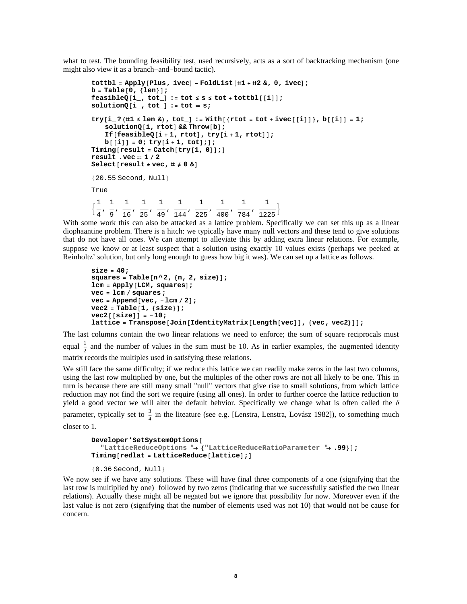what to test. The bounding feasibility test, used recursively, acts as a sort of backtracking mechanism (one might also view it as a branch−and−bound tactic).

```
total = Apply [Plus, ivec] - FoldList [ #1 + #2 & 0, ivec];b = \text{Table} \{0, \{len\}\};{\bf f}{\bf f}{\bf e}{\bf a}{\bf f}{\bf b}{\bf c}{\bf j}\bf j \bf j \bf j \bf j \bf j \bf j \bf j \bf j \bf j \bf j \bf j \bf j \bf j \bf j \bf j \bf j \bf j \bf j \bf j \bf j \bf j \bf j \bf j \bf j \bf j \bf j \bf j \bf j \
solutionQ[i_, tot_] := tot = s;try[i]' (#1 \le len \&), tot_] := With[{rtot = tot + ivec[[i]]}, b[[i]] = 1;
     solutionQ[i, rtot] && Throw[b];If[feasibleQ[i + 1, rtot], try[i + 1, rtot]];
     b[[i]] = 0; try[i+1, tot];\text{Truning} \left[ \text{result} = \text{Catch} \left[ \text{try} \left[ 1, 0 \right] \right] \right)result .vec  1  2
Select[result * vec,  # \neq 0 0]{20.55} Second, Null}
True
\frac{1}{4}1
1
1
1
1
1
    ,
        9
          ,
             16
                 ,
                    25
                        ,
                           49
                               ,
                                  144
                                       ,
                                         1
                                          225
                                                ,
                                                  1
                                                   400
                                                        ,
1
                                                           784
                                                                 ,
                                                                       1
                                                                    \frac{1}{225}\}
```
With some work this can also be attacked as a lattice problem. Specifically we can set this up as a linear diophaantine problem. There is a hitch: we typically have many null vectors and these tend to give solutions that do not have all ones. We can attempt to alleviate this by adding extra linear relations. For example, suppose we know or at least suspect that a solution using exactly 10 values exists (perhaps we peeked at Reinholtz' solution, but only long enough to guess how big it was). We can set up a lattice as follows.

```
size = 40;
squares = Table[n^2, \{n, 2, size\}lcm = Apply [LCM, squares];
vec = lcm  squares ;
vec = Append vec, -lcm / 2];
\text{vec2} = \text{Table} \{1, \{size\}\}\;vec{2} [[size]] = -10;
llattice = Transpose[Join]IdentityMatrix[Length[vec]], {vec, vec2}]];
```
The last columns contain the two linear relations we need to enforce; the sum of square reciprocals must equal  $\frac{1}{2}$  and the number of values in the sum must be 10. As in earlier examples, the augmented identity matrix records the multiples used in satisfying these relations.

We still face the same difficulty; if we reduce this lattice we can readily make zeros in the last two columns, using the last row multiplied by one, but the multiples of the other rows are not all likely to be one. This in turn is because there are still many small "null" vectors that give rise to small solutions, from which lattice reduction may not find the sort we require (using all ones). In order to further coerce the lattice reduction to yield a good vector we will alter the default behvior. Specifically we change what is often called the  $\delta$ 

parameter, typically set to  $\frac{3}{4}$  in the liteature (see e.g. [Lenstra, Lenstra, Lovász 1982]), to something much closer to 1.

```
Developer'SetSystemOptions@
  "LatticeReduceOptions "® 8"LatticeReduceRatioParameter "® .99<D;
Timing@redlat = LatticeReduce@latticeD;D
```

```
{0.36} Second, Null}
```
We now see if we have any solutions. These will have final three components of a one (signifying that the last row is multiplied by one) followed by two zeros (indicating that we successfully satisfied the two linear relations). Actually these might all be negated but we ignore that possibility for now. Moreover even if the last value is not zero (signifying that the number of elements used was not 10) that would not be cause for concern.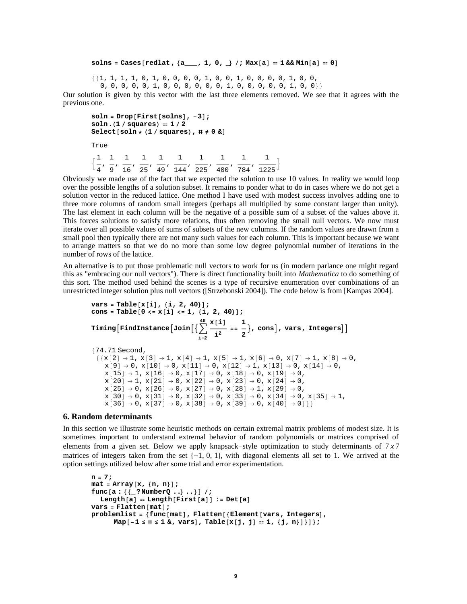### **solns** = **Cases**[**redlat**, {a\_\_\_, 1, 0, \_} /; Max[a] == 1 && Min[a] == 0]

881, 1, 1, 1, 0, 1, 0, 0, 0, 0, 1, 0, 0, 1, 0, 0, 0, 0, 1, 0, 0, 0, 0, 0, 0, 1, 0, 0, 0, 0, 0, 0, 1, 0, 0, 0, 0, 0, 1, 0, 0}}

Our solution is given by this vector with the last three elements removed. We see that it agrees with the previous one.

```
soln = Drop[First[solns], -3];soln.(1 / squares) = 1 / 2S^{elect}[soln * (1 / squares), \# \neq 0 \&True
\left\{ \right.1
  4
   ,
1
      9
        ,
1
          16
             ,
1
                25
                   ,
1
                     49
                        ,
1
                           144
                               ,
1
                                  225
                                      ,
1
                                         400
                                             ,
1
                                                784
                                                    ,
1
                                                       \frac{1225}{ }
```
Obviously we made use of the fact that we expected the solution to use 10 values. In reality we would loop over the possible lengths of a solution subset. It remains to ponder what to do in cases where we do not get a solution vector in the reduced lattice. One method I have used with modest success involves adding one to three more columns of random small integers (perhaps all multiplied by some constant larger than unity). The last element in each column will be the negative of a possible sum of a subset of the values above it. This forces solutions to satisfy more relations, thus often removing the small null vectors. We now must iterate over all possible values of sums of subsets of the new columns. If the random values are drawn from a small pool then typically there are not many such values for each column. This is important because we want to arrange matters so that we do no more than some low degree polynomial number of iterations in the number of rows of the lattice.

An alternative is to put those problematic null vectors to work for us (in modern parlance one might regard this as "embracing our null vectors"). There is direct functionality built into *Mathematica* to do something of this sort. The method used behind the scenes is a type of recursive enumeration over combinations of an unrestricted integer solution plus null vectors ([Strzebonski 2004]). The code below is from [Kampas 2004].

```
vars = Table[x[i], {i, 2, 40}];
\cosh 2\theta = \cosh 2\theta \cosh 2\theta = \sinh 2\theta \sinh 2\theta \sinh 2\theta \sinh 2\theta\mathtt{Timing}\big[\mathtt{FindInstance}\big[\mathtt{Join}\big[\big\{\big\}\big],i=2
                                                               40 x@iD
                                                                       \frac{[i]}{i^2} = \frac{1}{2}\begin{bmatrix} - \\ 2 \end{bmatrix}, cons\begin{bmatrix} 1 \\ 2 \end{bmatrix}, vars, Integers\begin{bmatrix} 1 \\ 2 \end{bmatrix}874.71 Second,
   \{x[2] \rightarrow 1, x[3] \rightarrow 1, x[4] \rightarrow 1, x[5] \rightarrow 1, x[6] \rightarrow 0, x[7] \rightarrow 1, x[8] \rightarrow 0,x[9] \rightarrow 0, x[10] \rightarrow 0, x[11] \rightarrow 0, x[12] \rightarrow 1, x[13] \rightarrow 0, x[14] \rightarrow 0,
       x[15] \rightarrow 1, x[16] \rightarrow 0, x[17] \rightarrow 0, x[18] \rightarrow 0, x[19] \rightarrow 0,x[20] \rightarrow 1, x[21] \rightarrow 0, x[22] \rightarrow 0, x[23] \rightarrow 0, x[24] \rightarrow 0,
```
 $x[30] \rightarrow 0$ ,  $x[31] \rightarrow 0$ ,  $x[32] \rightarrow 0$ ,  $x[33] \rightarrow 0$ ,  $x[34] \rightarrow 0$ ,  $x[35] \rightarrow 1$ ,

 $x[25] \rightarrow 0$ ,  $x[26] \rightarrow 0$ ,  $x[27] \rightarrow 0$ ,  $x[28] \rightarrow 1$ ,  $x[29] \rightarrow 0$ ,

 $x[36] \rightarrow 0$ ,  $x[37] \rightarrow 0$ ,  $x[38] \rightarrow 0$ ,  $x[39] \rightarrow 0$ ,  $x[40] \rightarrow 0$ } }

#### **6. Random determinants**

In this section we illustrate some heuristic methods on certain extremal matrix problems of modest size. It is sometimes important to understand extremal behavior of random polynomials or matrices comprised of elements from a given set. Below we apply knapsack−style optimization to study determinants of 7 *x* 7 matrices of integers taken from the set  $\{-1, 0, 1\}$ , with diagonal elements all set to 1. We arrived at the option settings utilized below after some trial and error experimentation.

```
n = 7;
mat = Array[x, {n, n}];
func[a : {\{\_?}NumberQ ..\} .}] /;
  Length[a] = Length[First[a]] := Det[a]\text{vars} = \text{Flatten}[\text{mat}];
\mathbf{p}roblemlist = {func[mat], Flatten[{Element[vars, Integers],
       Map[-1 \leq # \leq 1 \leq n, \text{vars}], Table[x[j, j] = 1, \{j, n\}]\};
```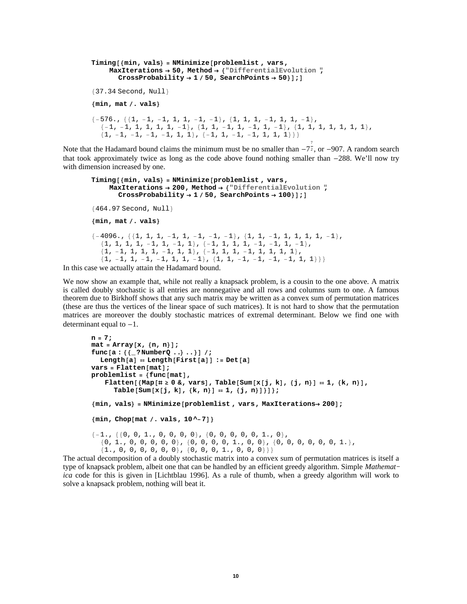```
Timing@8min, vals< = NMinimize@problemlist , vars,
     MaxIterations ® 50, Method ® 8"DifferentialEvolution ",
       CrossProbability \rightarrow 1 / 50, SearchPoints \rightarrow 50];
{37.34} Second, Null}
8min, mat . vals<
\{-576., \{\{1, -1, -1, 1, 1, -1, -1\}, \{1, 1, 1, -1, 1, 1, -1\},\}\{-1, -1, 1, 1, 1, 1, -1\}, \{1, 1, -1, 1, -1, 1, -1\}, \{1, 1, 1, 1, 1, 1\},{1, -1, -1, -1, -1, 1, 1}, { -1, 1, -1, -1, -1, 1, 1, 1}7
```
Note that the Hadamard bound claims the minimum must be no smaller than  $-7\overline{z}$ , or  $-907$ . A random search that took approximately twice as long as the code above found nothing smaller than -288. We'll now try with dimension increased by one.

```
Timing@8min, vals< = NMinimize@problemlist , vars,
     MaxIterations ® 200, Method ® 8"DifferentialEvolution ",
       CrossProbability \rightarrow 1 / 50, SearchPoints \rightarrow 100];
{464.97} Second, Null}
8min, mat . vals<
\{-4096., \{\{1, 1, 1, -1, 1, -1, -1, -1\}, \{1, 1, -1, 1, 1, 1, 1, -1\},\}{1, 1, 1, 1, 1, -1, 1, -1, 1}, { -1, 1, 1, 1, 1, -1, -1, 1, -1},{1, -1, 1, 1, 1, -1, 1, 1}, {-1, 1, 1, 1, 1, 1, 1, 1, 1, 1}\{1, -1, 1, -1, -1, -1, 1, 1, -1\}, \{1, 1, -1, -1, -1, -1, 1, 1\}\}
```
In this case we actually attain the Hadamard bound.

We now show an example that, while not really a knapsack problem, is a cousin to the one above. A matrix is called doubly stochastic is all entries are nonnegative and all rows and columns sum to one. A famous theorem due to Birkhoff shows that any such matrix may be written as a convex sum of permutation matrices (these are thus the vertices of the linear space of such matrices). It is not hard to show that the permutation matrices are moreover the doubly stochastic matrices of extremal determinant. Below we find one with determinant equal to  $-1$ .

```
n = 7;
\text{mat} = \text{Array}[x, \{n, n\}];func[a : {{_? NumberQ ..} ..}] /;
  Length[a] = Length[First[a]] := Det[a]vars =Flatten[mat];
\text{problemlist} = \{ \text{func}[\text{mat}] \}Flatten [{Map [# \ge 0 &, vars], Table [Sum [x [j, k], {j, n}] = 1, {k, n}],
       \texttt{Table}[\texttt{Sum}[x[j, k], \{k, n\}] = 1, \{j, n\}]\};{min, yals} = {NMinimize[problemlist, vars, MaxIterations} \rightarrow 200{min, Chop[mat / . vals, 10 ~ -7]}\{-1., \{\{0, 0, 1., 0, 0, 0, 0\}, \{0, 0, 0, 0, 0, 1., 0\},\}{0, 1., 0, 0, 0, 0, 0}, {0, 0, 0, 0, 0, 0, 1., 0, 0}, {0, 0, 0, 0, 0, 1.}\{1., 0, 0, 0, 0, 0, 0\}, \{0, 0, 0, 1., 0, 0, 0\}\}
```
The actual decomposition of a doubly stochastic matrix into a convex sum of permutation matrices is itself a type of knapsack problem, albeit one that can be handled by an efficient greedy algorithm. Simple *Mathemat− ica* code for this is given in [Lichtblau 1996]. As a rule of thumb, when a greedy algorithm will work to solve a knapsack problem, nothing will beat it.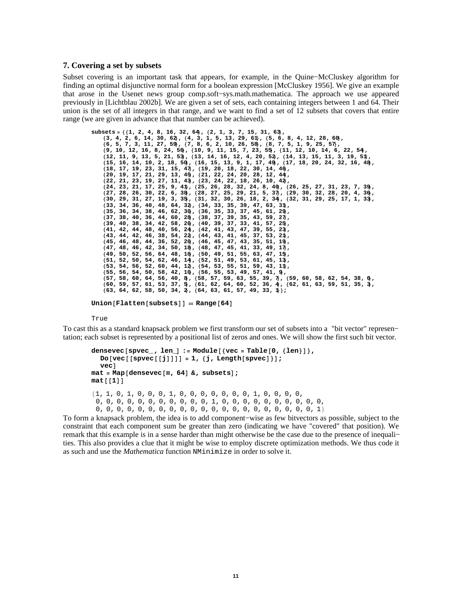### **7. Covering a set by subsets**

Subset covering is an important task that appears, for example, in the Quine−McCluskey algorithm for finding an optimal disjunctive normal form for a boolean expression [McCluskey 1956]. We give an example that arose in the Usenet news group comp.soft−sys.math.mathematica. The approach we use appeared previously in [Lichtblau 2002b]. We are given a set of sets, each containing integers between 1 and 64. Their union is the set of all integers in that range, and we want to find a set of 12 subsets that covers that entire range (we are given in advance that that number can be achieved).

```
subsets = 881, 2, 4, 8, 16, 32, 64<, 82, 1, 3, 7, 15, 31, 63<,
     \{3, 4, 2, 6, 14, 30, 62\}, \{4, 3, 1, 5, 13, 29, 61\}, \{5, 6, 8, 4, 12, 28, 60\}, \{6, 5, 7, 3, 11, 27, 59\}, \{7, 8, 6, 2, 10, 26, 58\}, \{8, 7, 5, 1, 9, 25, 57\},89, 10, 12, 16, 8, 24, 56<, 810, 9, 11, 15, 7, 23, 55<, 811, 12, 10, 14, 6, 22, 54<,
    812, 11, 9, 13, 5, 21, 53<, 813, 14, 16, 12, 4, 20, 52<, 814, 13, 15, 11, 3, 19, 51<,
    815, 16, 14, 10, 2, 18, 50<, 816, 15, 13, 9, 1, 17, 49<, 817, 18, 20, 24, 32, 16, 48<,
    818, 17, 19, 23, 31, 15, 47<, 819, 20, 18, 22, 30, 14, 46<,
     \{20, 19, 17, 21, 29, 13, 45, \{21, 22, 24, 20, 28, 12, 44,<br>\{22, 21, 23, 19, 27, 11, 43, \{23, 24, 22, 18, 26, 10, 42,824, 23, 21, 17, 25, 9, 41<, 825, 26, 28, 32, 24, 8, 40<, 826, 25, 27, 31, 23, 7, 39<,
    827, 28, 26, 30, 22, 6, 38<, 828, 27, 25, 29, 21, 5, 37<, 829, 30, 32, 28, 20, 4, 36<,
    830, 29, 31, 27, 19, 3, 35<, 831, 32, 30, 26, 18, 2, 34<, 832, 31, 29, 25, 17, 1, 33<,
    833, 34, 36, 40, 48, 64, 32<, 834, 33, 35, 39, 47, 63, 31<,
     {35, 36, 34, 38, 46, 62, 30}, {36, 35, 33, 37, 45, 61, 29},<br>{37, 38, 40, 36, 44, 60, 28}, {38, 37, 39, 35, 43, 59, 27},
    839, 40, 38, 34, 42, 58, 26<, 840, 39, 37, 33, 41, 57, 25<,
    841, 42, 44, 48, 40, 56, 24<, 842, 41, 43, 47, 39, 55, 23<,
    843, 44, 42, 46, 38, 54, 22<, 844, 43, 41, 45, 37, 53, 21<,
     \{45, 46, 48, 44, 36, 52, 20, \{46, 45, 47, 43, 35, 51, 19,<br>\{47, 48, 46, 42, 34, 50, 18, \{48, 47, 45, 41, 33, 49, 17\},\849, 50, 52, 56, 64, 48, 16<, 850, 49, 51, 55, 63, 47, 15<,
     {51, 52, 50, 54, 62, 46, 14, {52, 51, 49, 53, 61, 45, 13,<br>{53, 54, 56, 52, 60, 44, 12, {54, 53, 55, 51, 59, 43, 11},
    855, 56, 54, 50, 58, 42, 10<, 856, 55, 53, 49, 57, 41, 9<,
     {57, 58, 60, 64, 56, 40, 8}, {58, 57, 59, 63, 55, 39, 7}, {59, 60, 58, 62, 54, 38, 6},<br>{60, 59, 57, 61, 53, 37, 5}, {61, 62, 64, 60, 52, 36, 4}, {62, 61, 63, 59, 51, 35, 3},<br>{63, 64, 62, 58, 50, 34, 2}, {64, 63, 61, 57, 49
```
 $Union[Flatten[subsets]] = Range[64]$ 

True

To cast this as a standard knapsack problem we first transform our set of subsets into a "bit vector" represen− tation; each subset is represented by a positional list of zeros and ones. We will show the first such bit vector.

```
\alpha densevec [spvec_, len_] := Module [{vec = Table [0, {len}] },
  Do[vec[space][j]]] = 1, \{j, \text{Length}[s \text{pvec}]\};
  vechat{a} = Map[densevec[#, 64] &, subsets];
mat[1]81, 1, 0, 1, 0, 0, 0, 1, 0, 0, 0, 0, 0, 0, 0, 1, 0, 0, 0, 0,
 0, 0, 0, 0, 0, 0, 0, 0, 0, 0, 0, 1, 0, 0, 0, 0, 0, 0, 0, 0, 0, 0,
 0, 0, 0, 0, 0, 0, 0, 0, 0, 0, 0, 0, 0, 0, 0, 0, 0, 0, 0, 0, 0, 1<
```
To form a knapsack problem, the idea is to add component−wise as few bitvectors as possible, subject to the constraint that each component sum be greater than zero (indicating we have "covered" that position). We remark that this example is in a sense harder than might otherwise be the case due to the presence of inequali− ties. This also provides a clue that it might be wise to employ discrete optimization methods. We thus code it as such and use the *Mathematica* function NMinimize in order to solve it.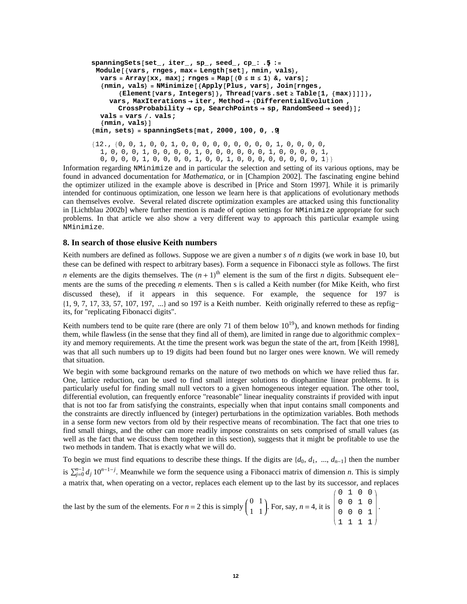```
spanningSets@set_, iter_, sp_, seed_, cp_: .5D :=
 Module@8vars, rnges, max= Length@setD, nmin, vals<,
  \text{vars} = \text{Array}[\text{xx}, \text{max}]; \text{rnges} = \text{Map}[(0 \leq # \leq 1) \& \text{yors}];
  8nmin, vals< = NMinimize@8Apply@Plus, varsD, Join@rnges,
        8Element@vars, IntegersD<, Thread@vars.set ³ Table@1, 8max<DDD<,
     vars, MaxIterations ® iter, Method ® 8DifferentialEvolution ,
       CrossProbability \rightarrow cp, SearchPoints \rightarrow sp, RandomSeed \rightarrow seed};
  vals = vars . vals;
  {mnin, vals}8min, sets< = spanningSets@mat, 2000, 100, 0, .9D
812., 80, 0, 1, 0, 0, 1, 0, 0, 0, 0, 0, 0, 0, 0, 0, 1, 0, 0, 0, 0,
  1, 0, 0, 0, 1, 0, 0, 0, 0, 1, 0, 0, 0, 0, 0, 0, 1, 0, 0, 0, 0, 1,
  0, 0, 0, 0, 1, 0, 0, 0, 0, 1, 0, 0, 1, 0, 0, 0, 0, 0, 0, 0, 0, 0, 1}}
```
Information regarding NMinimize and in particular the selection and setting of its various options, may be found in advanced documentation for *Mathematica*, or in [Champion 2002]. The fascinating engine behind the optimizer utilized in the example above is described in [Price and Storn 1997]. While it is primarily intended for continuous optimization, one lesson we learn here is that applications of evolutionary methods can themselves evolve. Several related discrete optimization examples are attacked using this functionality in [Lichtblau 2002b] where further mention is made of option settings for NMinimize appropriate for such problems. In that article we also show a very different way to approach this particular example using NMinimize.

### **8. In search of those elusive Keith numbers**

Keith numbers are defined as follows. Suppose we are given a number *s* of *n* digits (we work in base 10, but these can be defined with respect to arbitrary bases). Form a sequence in Fibonacci style as follows. The first *n* elements are the digits themselves. The  $(n + 1)$ <sup>th</sup> element is the sum of the first *n* digits. Subsequent ele– ments are the sums of the preceding *n* elements. Then s is called a Keith number (for Mike Keith, who first discussed these), if it appears in this sequence. For example, the sequence for 197 is 81, 9, 7, 17, 33, 57, 107, 197, ...< and so 197 is a Keith number. Keith originally referred to these as repfig− its, for "replicating Fibonacci digits".

Keith numbers tend to be quite rare (there are only 71 of them below  $10^{19}$ ), and known methods for finding them, while flawless (in the sense that they find all of them), are limited in range due to algorithmic complex− ity and memory requirements. At the time the present work was begun the state of the art, from [Keith 1998], was that all such numbers up to 19 digits had been found but no larger ones were known. We will remedy that situation.

We begin with some background remarks on the nature of two methods on which we have relied thus far. One, lattice reduction, can be used to find small integer solutions to diophantine linear problems. It is particularly useful for finding small null vectors to a given homogeneous integer equation. The other tool, differential evolution, can frequently enforce "reasonable" linear inequality constraints if provided with input that is not too far from satisfying the constraints, especially when that input contains small components and the constraints are directly influenced by (integer) perturbations in the optimization variables. Both methods in a sense form new vectors from old by their respective means of recombination. The fact that one tries to find small things, and the other can more readily impose constraints on sets comprised of small values (as well as the fact that we discuss them together in this section), suggests that it might be profitable to use the two methods in tandem. That is exactly what we will do.

To begin we must find equations to describe these things. If the digits are  $\{d_0, d_1, ..., d_{n-1}\}$  then the number is  $\sum_{j=0}^{n-1} d_j 10^{n-1-j}$ . Meanwhile we form the sequence using a Fibonacci matrix of dimension *n*. This is simply a matrix that, when operating on a vector, replaces each element up to the last by its successor, and replaces  $(0, 1, 0, 0)$ 

the last by the sum of the elements. For 
$$
n = 2
$$
 this is simply  $\begin{pmatrix} 0 & 1 \\ 1 & 1 \end{pmatrix}$ . For, say,  $n = 4$ , it is  $\begin{pmatrix} 0 & 0 & 1 & 0 \\ 0 & 0 & 1 & 0 \\ 0 & 0 & 0 & 1 \\ 1 & 1 & 1 & 1 \end{pmatrix}$ .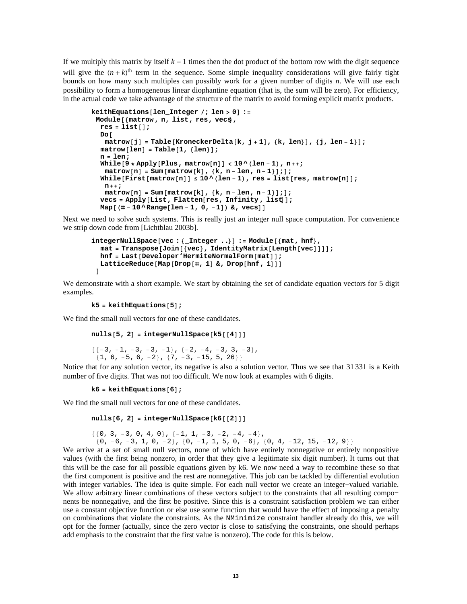If we multiply this matrix by itself  $k - 1$  times then the dot product of the bottom row with the digit sequence will give the  $(n + k)$ <sup>th</sup> term in the sequence. Some simple inequality considerations will give fairly tight bounds on how many such multiples can possibly work for a given number of digits *n*. We will use each possibility to form a homogeneous linear diophantine equation (that is, the sum will be zero). For efficiency, in the actual code we take advantage of the structure of the matrix to avoid forming explicit matrix products.

```
keithEquations<sup>[len_Integer</sup> /; len > 0] :=
 Module@8matrow , n, list, res, vecs<,
   res = list[];
   Do@
     matrow[j] = Table[KroneckerDelta[k, j+1], {k, len}, {j, len-1}];\text{matrow}[\text{len}] = \text{Table}[\text{1}, \{\text{len}\}];
   n = len;
   WMile<sup>[9</sup> * Apply<sup>[Plus, matrow<sup>[n]</sup>] < 10 ^ (len - 1), n++;</sup>
     \text{matrix}[\text{min}[\text{matrix}|\mathbf{x}], {\kappa}, \text{min}[\text{min}|\mathbf{x}], \mathbf{0}]While [First [matrow [n] ] \leq 10 \wedge (\text{len} - 1), res = list [res, matrow [n] ];
     n++;
     \text{matrow}[n] = \text{Sum}[\text{matrow}[k], \{k, n - \text{len}, n - 1\}];
   \text{vecs} = \text{Apply}[\text{List}, \text{Flatten}[\text{res}, \text{Infinity}, \text{list}]];
   Map[(\# - 10 \land Range[len - 1, 0, -1]) \& \text{, } vecs]]
```
Next we need to solve such systems. This is really just an integer null space computation. For convenience we strip down code from [Lichtblau 2003b].

```
integerNullSpace[vec : {Interger ..}] := Module[<math>mat, hff</math>hat[</math> <math>\text{transpose}[\text{Join}[\text{vec}], \text{IdentityMatrix}[\text{Length}[\text{vec}]]]]</math>hnf = Last[Develope' HermiteNormalForm[mat]];LatticeReduce[Map[Drop[#, 1] & F, Drop[hnf, 1]]]D
```
We demonstrate with a short example. We start by obtaining the set of candidate equation vectors for 5 digit examples.

```
k5 =keithEquations[5];
```
We find the small null vectors for one of these candidates.

```
nulls[5, 2] = integerNullSpace[k5][4]]
```

```
{(-3, -1, -3, -3, -1}, {-2, -4, -3, 3, -3},\{1, 6, -5, 6, -2\}, \{7, -3, -15, 5, 26\}\}
```
Notice that for any solution vector, its negative is also a solution vector. Thus we see that 31 331 is a Keith number of five digits. That was not too difficult. We now look at examples with 6 digits.

```
k6 =keithEquations[6];
```
We find the small null vectors for one of these candidates.

```
nulls[6, 2] = integerNullSpace[6[2]]
```

```
\{\{0, 3, -3, 0, 4, 0\}, \{-1, 1, -3, -2, -4, -4\},\\{0, -6, -3, 1, 0, -2\}, \{0, -1, 1, 5, 0, -6\}, \{0, 4, -12, 15, -12, 9\}\}
```
We arrive at a set of small null vectors, none of which have entirely nonnegative or entirely nonpositive values (with the first being nonzero, in order that they give a legitimate six digit number). It turns out that this will be the case for all possible equations given by k6. We now need a way to recombine these so that the first component is positive and the rest are nonnegative. This job can be tackled by differential evolution with integer variables. The idea is quite simple. For each null vector we create an integer−valued variable. We allow arbitrary linear combinations of these vectors subject to the constraints that all resulting compo− nents be nonnegative, and the first be positive. Since this is a constraint satisfaction problem we can either use a constant objective function or else use some function that would have the effect of imposing a penalty on combinations that violate the constraints. As the NMinimize constraint handler already do this, we will opt for the former (actually, since the zero vector is close to satisfying the constraints, one should perhaps add emphasis to the constraint that the first value is nonzero). The code for this is below.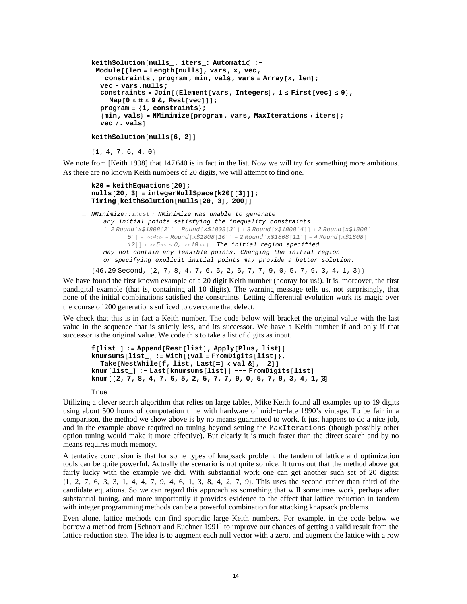```
keithSolution@nulls_ , iters_: AutomaticD :=
 Module@8len = Length@nullsD, vars, x, vec,
    constraints, program, min, vals, vars = Array[x, len];
  vec = vars.nulls;
   \text{constraints} = \text{Join} [\text{{Element}}[\text{vars}, \text{Integers}], 1 \leq \text{First}[\text{vec}] \leq 9\},
     Map[0 \leq # \leq 9 \&, Rest[vec]]];
   program = 81, constraints<;
   8min, vals< = NMinimize@program , vars, MaxIterations® itersD;
  vec /. vals<sup>1</sup>
```
 $k$ eithSolution<sup>[nulls</sup>]<sup>6, 2]</sub></sup>

 ${1, 4, 7, 6, 4, 0}$ 

We note from [Keith 1998] that 147 640 is in fact in the list. Now we will try for something more ambitious. As there are no known Keith numbers of 20 digits, we will attempt to find one.

```
k20 =keithEquations[20];
nulls[20, 3] = integerNullSpace[k20|[3]]];
Timing@keithSolution@nulls@20, 3D, 200DD
```

```
= NMinimize:: incst: NMinimize was unable to generate
      any initial points satisfying the inequality constraints
      \{-2 \text{ Round } [x$1808[2]] + Round [x$1808[3]] + 3 Round [x$1808[4]] + 2 Round [x$1808]5] + \ll4\gg + Round [x$1808[10]] - 2 Round [x$1808[11]] - 4 Round [x$1808]12] + \ll5\gg \leq 0, \ll10\gg }. The initial region specified
      may not contain any feasible points. Changing the initial region
      or specifying explicit initial points may provide a better solution.
```
 ${46.29}$  Second,  ${2, 7, 8, 4, 7, 6, 5, 2, 5, 7, 7, 9, 0, 5, 7, 9, 3, 4, 1, 3}$ 

We have found the first known example of a 20 digit Keith number (hooray for us!). It is, moreover, the first pandigital example (that is, containing all 10 digits). The warning message tells us, not surprisingly, that none of the initial combinations satisfied the constraints. Letting differential evolution work its magic over the course of 200 generations sufficed to overcome that defect.

We check that this is in fact a Keith number. The code below will bracket the original value with the last value in the sequence that is strictly less, and its successor. We have a Keith number if and only if that successor is the original value. We code this to take a list of digits as input.

```
f[list_] := Append[Rest[list], Apply[Plus, list]]knumsums@list_D := With@8val = FromDigits@listD<,
  Take@NestWhile@f, list, Last@ðD < val &D, -2DD
knum[ilist_] := Last[knumsum[list_j] == FromDigits[iist])knum<sup>[{2, 7, 8, 4, 7, 6, 5, 2, 5, 7, 7, 9, 0, 5, 7, 9, 3, 4, 1, <sup>[3]</sup></sup>
```
True

Utilizing a clever search algorithm that relies on large tables, Mike Keith found all examples up to 19 digits using about 500 hours of computation time with hardware of mid−to−late 1990's vintage. To be fair in a comparison, the method we show above is by no means guaranteed to work. It just happens to do a nice job, and in the example above required no tuning beyond setting the MaxIterations (though possibly other option tuning would make it more effective). But clearly it is much faster than the direct search and by no means requires much memory.

A tentative conclusion is that for some types of knapsack problem, the tandem of lattice and optimization tools can be quite powerful. Actually the scenario is not quite so nice. It turns out that the method above got fairly lucky with the example we did. With substantial work one can get another such set of 20 digits:  $\{1, 2, 7, 6, 3, 3, 1, 4, 4, 7, 9, 4, 6, 1, 3, 8, 4, 2, 7, 9\}$ . This uses the second rather than third of the candidate equations. So we can regard this approach as something that will sometimes work, perhaps after substantial tuning, and more importantly it provides evidence to the effect that lattice reduction in tandem with integer programming methods can be a powerful combination for attacking knapsack problems.

Even alone, lattice methods can find sporadic large Keith numbers. For example, in the code below we borrow a method from [Schnorr and Euchner 1991] to improve our chances of getting a valid result from the lattice reduction step. The idea is to augment each null vector with a zero, and augment the lattice with a row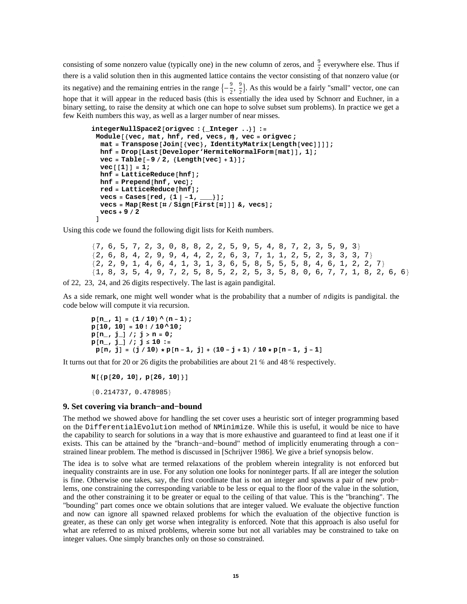consisting of some nonzero value (typically one) in the new column of zeros, and  $\frac{9}{2}$  everywhere else. Thus if there is a valid solution then in this augmented lattice contains the vector consisting of that nonzero value (or its negative) and the remaining entries in the range  $\left\{-\frac{9}{2}\right\}$  $\frac{9}{2}$ ,  $\frac{9}{2}$  $\frac{9}{2}$ . As this would be a fairly "small" vector, one can hope that it will appear in the reduced basis (this is essentially the idea used by Schnorr and Euchner, in a binary setting, to raise the density at which one can hope to solve subset sum problems). In practice we get a few Keith numbers this way, as well as a larger number of near misses.

```
integerNullSpace2[origvec : {Interger ..}]:
 Module@8vec, mat, hnf, red, vecs, m<, vec = origvec ;
  hat[Join][vec], IdentityMatrix[Length[vec)]];
  hnf = Drop[Last[Development'HermiteNorm[match], 1;
  vec = <b>Table[-9 / 2, {Length[vec] + 1}];
  vec([1]) = 1;hnf = LatticeReduce(hnf);hnf = Prepend[hnf, vec];
  red = LatticeReduce[hnf];
  \text{vecs} = \text{Cases} [\text{red}, \{1 \mid -1, \_\_\_\_\_}];\text{vecs} = \text{Map}[\text{Rest}[\text{\texttt{#}} \mid \text{Sign}[\text{First}[\text{\texttt{#}} \text{]]}] \; \text{\texttt{#}} \text{,} \; \text{vecs}vecs + 9  2
 D
```
Using this code we found the following digit lists for Keith numbers.

 ${7, 6, 5, 7, 2, 3, 0, 8, 8, 2, 2, 5, 9, 5, 4, 8, 7, 2, 3, 5, 9, 3}$  ${2, 6, 8, 4, 2, 9, 9, 4, 4, 2, 2, 6, 3, 7, 1, 1, 2, 5, 2, 3, 3, 3, 7}$  $\{2, 2, 9, 1, 4, 6, 4, 1, 3, 1, 3, 6, 5, 8, 5, 5, 5, 8, 4, 6, 1, 2, 2, 7\}$  ${1, 8, 3, 5, 4, 9, 7, 2, 5, 8, 5, 2, 2, 5, 3, 5, 8, 0, 6, 7, 7, 1, 8, 2, 6, 6}$ 

of 22, 23, 24, and 26 digits respectively. The last is again pandigital.

As a side remark, one might well wonder what is the probability that a number of *n*digits is pandigital. the code below will compute it via recursion.

```
p[n, 1] = (1/10) (n-1);p[10, 10] = 10! / 10^110;p@n_, j_D ; j > n = 0;
p@n_, j_D ; j £ 10 :=
 p[n, j] = (j / 10) * p[n - 1, j] + (10 - j + 1) / 10 * p[n - 1, j - 1]
```
It turns out that for 20 or 26 digits the probabilities are about 21 % and 48 % respectively.

 $N[\{p[20, 10], p[26, 10]\}]$ 80.214737, 0.478985<

### **9. Set covering via branch−and−bound**

The method we showed above for handling the set cover uses a heuristic sort of integer programming based on the DifferentialEvolution method of NMinimize. While this is useful, it would be nice to have the capability to search for solutions in a way that is more exhaustive and guaranteed to find at least one if it exists. This can be attained by the "branch−and−bound" method of implicitly enumerating through a con− strained linear problem. The method is discussed in [Schrijver 1986]. We give a brief synopsis below.

The idea is to solve what are termed relaxations of the problem wherein integrality is not enforced but inequality constraints are in use. For any solution one looks for noninteger parts. If all are integer the solution is fine. Otherwise one takes, say, the first coordinate that is not an integer and spawns a pair of new prob− lems, one constraining the corresponding variable to be less or equal to the floor of the value in the solution, and the other constraining it to be greater or equal to the ceiling of that value. This is the "branching". The "bounding" part comes once we obtain solutions that are integer valued. We evaluate the objective function and now can ignore all spawned relaxed problems for which the evaluation of the objective function is greater, as these can only get worse when integrality is enforced. Note that this approach is also useful for what are referred to as mixed problems, wherein some but not all variables may be constrained to take on integer values. One simply branches only on those so constrained.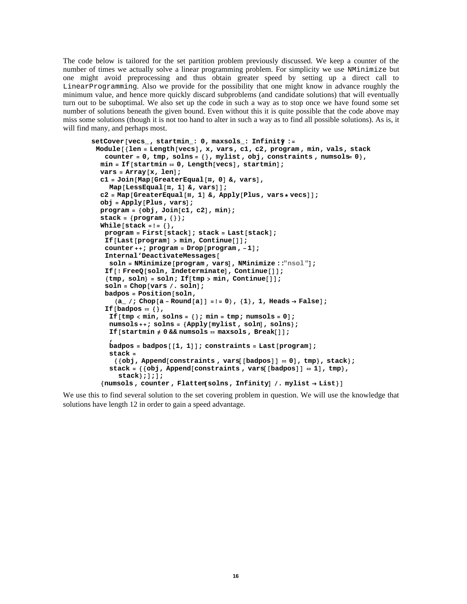The code below is tailored for the set partition problem previously discussed. We keep a counter of the number of times we actually solve a linear programming problem. For simplicity we use NMinimize but one might avoid preprocessing and thus obtain greater speed by setting up a direct call to LinearProgramming. Also we provide for the possibility that one might know in advance roughly the minimum value, and hence more quickly discard subproblems (and candidate solutions) that will eventually turn out to be suboptimal. We also set up the code in such a way as to stop once we have found some set number of solutions beneath the given bound. Even without this it is quite possible that the code above may miss some solutions (though it is not too hand to alter in such a way as to find all possible solutions). As is, it will find many, and perhaps most.

```
setCover[vecs_, statmin_,: 0, maxsols_,: Infinity :=Module@8len = Length@vecsD, x, vars, c1, c2, program , min, vals, stack,
   counter = 0, tmp, solns = \{\}, mylist, obj, constants, numsols = 0\},min = \text{If}[startmin == 0, Length[vecs], startmin];
  \text{vars} = \text{Array}[x, \text{len}];
  c1 = Join@Map@GreaterEqual@ð, 0D &, varsD,
    Map[LessEqual | #, 1 | & 0, 1 |)c2 = Map[GreaterEqual<sup>[#</sup>, 1] &, Apply<sup>[plus</sup>, vars*vecs]];
  obj = Apply[Plus, vars];
  program = 8obj, Join@c1, c2D, min<;
  stack = 8program , 8<<;
  While@stack =!= 8<,
   program = First[stack]; stack = Last[stack];
   If[Last[program] > min, Continue[]];
   counter++; program = Drop[program, -1];
   Internal'DeactivateMessages@
    soln = NMinimize@program , varsD, NMinimize ::"nsol"D;
   If@! FreeQ@soln, IndeterminateD, Continue@DD;
   {time, soln} = soln; If[tmp > min, Continue[]];soln = Chop[vars / . soln];badpos = Position[soln,(a_1 / a_2) Chop[a - \text{Round}[a]] = ! = 0, \{1\}, 1, Heads \rightarrow False];
   If@badpos  8<,
    If[tmp < min, solns = \{\}\text{; min = tmp; numsols = 0}\}\text{; }numsols++; solns = 8Apply@mylist , solnD, solns<;
    If [startmin \neq 0 \& numsols = maxsols, Break[];
     ,
    badpos = badpos[1, 1]; constraints = Last[program];
    stack =
      {60bj, Appendix 1}, Append[constraints, vars[[badpos]] = 0], tmp}, stack};
    \text{stack} = \{ \text{obj}, \text{Append}[\text{constraints}, \text{vars}[\text{badpos}]] = 1 \}, tmp},
       stack}; ]; ];
  {maxols, counter, Flatten[solns, Infinity] / . mylist + List}}
```
We use this to find several solution to the set covering problem in question. We will use the knowledge that solutions have length 12 in order to gain a speed advantage.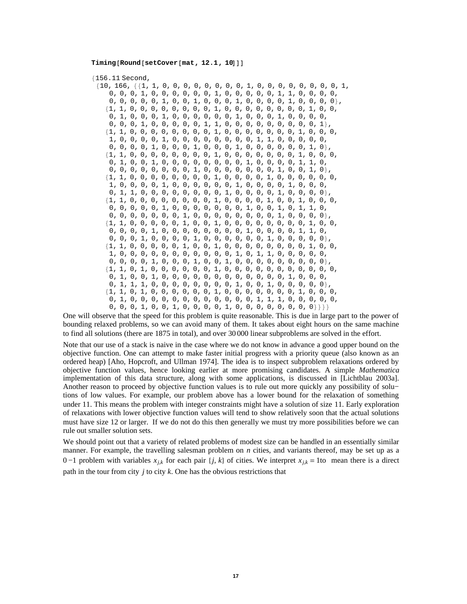### $\texttt{Timing}$ **[Round**[setCover**[mat, 12.1, 10**]]

8156.11 Second,

| 0, 0, 0, 1, 0, 0, 0, 0, 0, 0, 1, 0, 0, 0, 0, 0, 1, 1, 0, 0, 0, 0,         |
|---------------------------------------------------------------------------|
|                                                                           |
| $\{1, 1, 0, 0, 0, 0, 0, 0, 0, 0, 1, 0, 0, 0, 0, 0, 0, 0, 0, 1, 0, 0,$     |
|                                                                           |
| $0, 0, 0, 1, 0, 0, 0, 0, 0, 1, 1, 0, 0, 0, 0, 0, 0, 0, 0, 0, 1 \}$        |
|                                                                           |
| 1, 0, 0, 0, 0, 1, 0, 0, 0, 0, 0, 0, 0, 0, 1, 1, 0, 0, 0, 0, 0, 0,         |
| $0, 0, 0, 0, 1, 0, 0, 0, 1, 0, 0, 0, 1, 0, 0, 0, 0, 0, 0, 1, 0 \}$        |
|                                                                           |
| $0, 1, 0, 0, 1, 0, 0, 0, 0, 0, 0, 0, 0, 1, 0, 0, 0, 0, 1, 1, 0,$          |
| $0, 0, 0, 0, 0, 0, 0, 0, 1, 0, 0, 0, 0, 0, 0, 0, 1, 0, 0, 1, 0\},$        |
|                                                                           |
| 1, 0, 0, 0, 0, 1, 0, 0, 0, 0, 0, 0, 1, 0, 0, 0, 0, 1, 0, 0, 0,            |
|                                                                           |
|                                                                           |
| $0, 0, 0, 0, 0, 1, 0, 0, 0, 0, 0, 0, 0, 1, 0, 1, 0, 1, 1, 0,$             |
| $0, 0, 0, 0, 0, 0, 0, 1, 0, 0, 0, 0, 0, 0, 0, 0, 1, 0, 0, 0, 0\},$        |
| $\{1, 1, 0, 0, 0, 0, 0, 1, 0, 0, 1, 0, 0, 0, 0, 0, 0, 0, 0, 1, 0, 0,$     |
| $0, 0, 0, 0, 1, 0, 0, 0, 0, 0, 0, 0, 0, 1, 0, 0, 0, 0, 1, 1, 0,$          |
|                                                                           |
| $\{1, 1, 0, 0, 0, 0, 0, 1, 0, 0, 1, 0, 0, 0, 0, 0, 0, 0, 0, 1, 0, 0,$     |
| 1, 0, 0, 0, 0, 0, 0, 0, 0, 0, 0, 0, 1, 0, 1, 1, 0, 0, 0, 0, 0,            |
|                                                                           |
| $\{1, 1, 0, 1, 0, 0, 0, 0, 0, 0, 1, 0, 0, 0, 0, 0, 0, 0, 0, 0, 0, 0, 0\}$ |
|                                                                           |
|                                                                           |
|                                                                           |
| 0, 1, 0, 0, 0, 0, 0, 0, 0, 0, 0, 0, 0, 1, 1, 1, 0, 0, 0, 0, 0,            |
| $0, 0, 0, 1, 0, 0, 1, 0, 0, 0, 0, 1, 0, 0, 0, 0, 0, 0, 0, 0\}$ }}}        |

One will observe that the speed for this problem is quite reasonable. This is due in large part to the power of bounding relaxed problems, so we can avoid many of them. It takes about eight hours on the same machine to find all solutions (there are 1875 in total), and over 30 000 linear subproblems are solved in the effort.

Note that our use of a stack is naive in the case where we do not know in advance a good upper bound on the objective function. One can attempt to make faster initial progress with a priority queue (also known as an ordered heap) [Aho, Hopcroft, and Ullman 1974]. The idea is to inspect subproblem relaxations ordered by objective function values, hence looking earlier at more promising candidates. A simple *Mathematica* implementation of this data structure, along with some applications, is discussed in [Lichtblau 2003a]. Another reason to proceed by objective function values is to rule out more quickly any possibility of solu− tions of low values. For example, our problem above has a lower bound for the relaxation of something under 11. This means the problem with integer constraints might have a solution of size 11. Early exploration of relaxations with lower objective function values will tend to show relatively soon that the actual solutions must have size 12 or larger. If we do not do this then generally we must try more possibilities before we can rule out smaller solution sets.

We should point out that a variety of related problems of modest size can be handled in an essentially similar manner. For example, the travelling salesman problem on *n* cities, and variants thereof, may be set up as a 0 −1 problem with variables  $x_{j,k}$  for each pair  $\{j, k\}$  of cities. We interpret  $x_{j,k} = 1$ to mean there is a direct path in the tour from city *j* to city *k*. One has the obvious restrictions that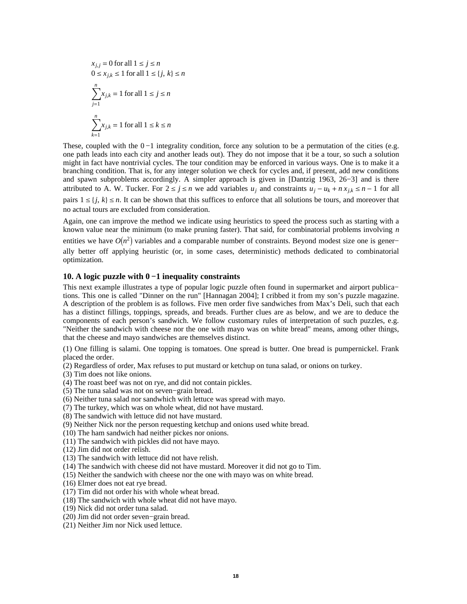$$
x_{j,j} = 0 \text{ for all } 1 \le j \le n
$$
  
 
$$
0 \le x_{j,k} \le 1 \text{ for all } 1 \le \{j, k\} \le n
$$
  
 
$$
\sum_{j=1}^{n} x_{j,k} = 1 \text{ for all } 1 \le j \le n
$$
  
 
$$
\sum_{k=1}^{n} x_{j,k} = 1 \text{ for all } 1 \le k \le n
$$

These, coupled with the  $0 - 1$  integrality condition, force any solution to be a permutation of the cities (e.g. one path leads into each city and another leads out). They do not impose that it be a tour, so such a solution might in fact have nontrivial cycles. The tour condition may be enforced in various ways. One is to make it a branching condition. That is, for any integer solution we check for cycles and, if present, add new conditions and spawn subproblems accordingly. A simpler approach is given in [Dantzig 1963, 26−3] and is there attributed to A. W. Tucker. For  $2 \le j \le n$  we add variables  $u_j$  and constraints  $u_j - u_k + n x_{j,k} \le n - 1$  for all pairs  $1 \leq \{j, k\} \leq n$ . It can be shown that this suffices to enforce that all solutions be tours, and moreover that no actual tours are excluded from consideration.

Again, one can improve the method we indicate using heuristics to speed the process such as starting with a known value near the minimum (to make pruning faster). That said, for combinatorial problems involving *n*

entities we have  $O(n^2)$  variables and a comparable number of constraints. Beyond modest size one is gener– ally better off applying heuristic (or, in some cases, deterministic) methods dedicated to combinatorial optimization.

# **10. A logic puzzle with 0 −1 inequality constraints**

This next example illustrates a type of popular logic puzzle often found in supermarket and airport publica– tions. This one is called "Dinner on the run" [Hannagan 2004]; I cribbed it from my son's puzzle magazine. A description of the problem is as follows. Five men order five sandwiches from Max's Deli, such that each has a distinct fillings, toppings, spreads, and breads. Further clues are as below, and we are to deduce the components of each person's sandwich. We follow customary rules of interpretation of such puzzles, e.g. "Neither the sandwich with cheese nor the one with mayo was on white bread" means, among other things, that the cheese and mayo sandwiches are themselves distinct.

(1) One filling is salami. One topping is tomatoes. One spread is butter. One bread is pumpernickel. Frank placed the order.

(2) Regardless of order, Max refuses to put mustard or ketchup on tuna salad, or onions on turkey.

(3) Tim does not like onions.

(4) The roast beef was not on rye, and did not contain pickles.

(5) The tuna salad was not on seven−grain bread.

(6) Neither tuna salad nor sandwhich with lettuce was spread with mayo.

(7) The turkey, which was on whole wheat, did not have mustard.

(8) The sandwich with lettuce did not have mustard.

(9) Neither Nick nor the person requesting ketchup and onions used white bread.

(10) The ham sandwich had neither pickes nor onions.

(11) The sandwich with pickles did not have mayo.

(12) Jim did not order relish.

(13) The sandwich with lettuce did not have relish.

(14) The sandwich with cheese did not have mustard. Moreover it did not go to Tim.

(15) Neither the sandwich with cheese nor the one with mayo was on white bread.

(16) Elmer does not eat rye bread.

(17) Tim did not order his with whole wheat bread.

(18) The sandwich with whole wheat did not have mayo.

(19) Nick did not order tuna salad.

(20) Jim did not order seven−grain bread.

(21) Neither Jim nor Nick used lettuce.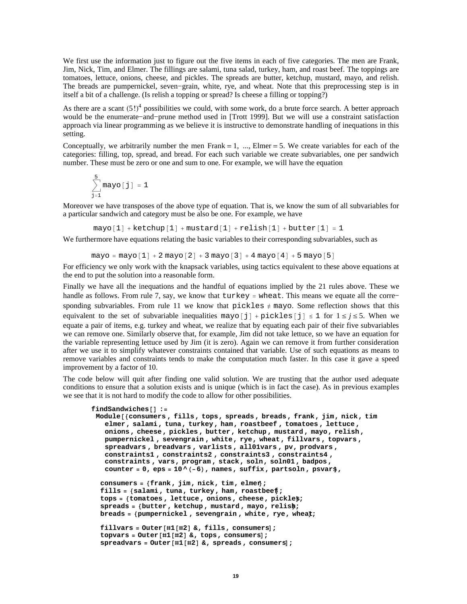We first use the information just to figure out the five items in each of five categories. The men are Frank, Jim, Nick, Tim, and Elmer. The fillings are salami, tuna salad, turkey, ham, and roast beef. The toppings are tomatoes, lettuce, onions, cheese, and pickles. The spreads are butter, ketchup, mustard, mayo, and relish. The breads are pumpernickel, seven−grain, white, rye, and wheat. Note that this preprocessing step is in itself a bit of a challenge. (Is relish a topping or spread? Is cheese a filling or topping?)

As there are a scant  $(5!)^4$  possibilities we could, with some work, do a brute force search. A better approach would be the enumerate−and−prune method used in [Trott 1999]. But we will use a constraint satisfaction approach via linear programming as we believe it is instructive to demonstrate handling of inequations in this setting.

Conceptually, we arbitrarily number the men Frank  $= 1, \ldots,$  Elmer  $= 5$ . We create variables for each of the categories: filling, top, spread, and bread. For each such variable we create subvariables, one per sandwich number. These must be zero or one and sum to one. For example, we will have the equation

$$
\sum_{j=1}^{5} \text{mayo} \left[ \; j \; \right] \; = \; 1
$$

Moreover we have transposes of the above type of equation. That is, we know the sum of all subvariables for a particular sandwich and category must be also be one. For example, we have

 $mayo[1] + ketchup[1] + mustard[1] + relish[1] + butter[1] = 1$ 

We furthermore have equations relating the basic variables to their corresponding subvariables, such as

 $mayo = mayo[1] + 2 mayo[2] + 3 mayo[3] + 4 mayo[4] + 5 mayo[5]$ 

For efficiency we only work with the knapsack variables, using tactics equivalent to these above equations at the end to put the solution into a reasonable form.

Finally we have all the inequations and the handful of equations implied by the 21 rules above. These we handle as follows. From rule 7, say, we know that turkey = wheat. This means we equate all the corre− sponding subvariables. From rule 11 we know that pickles  $\neq$  mayo. Some reflection shows that this equivalent to the set of subvariable inequalities mayo  $\lceil 1 \rceil + \text{pickles} \lceil 1 \rceil \leq 1$  for  $1 \leq j \leq 5$ . When we equate a pair of items, e.g. turkey and wheat, we realize that by equating each pair of their five subvariables we can remove one. Similarly observe that, for example, Jim did not take lettuce, so we have an equation for the variable representing lettuce used by Jim (it is zero). Again we can remove it from further consideration after we use it to simplify whatever constraints contained that variable. Use of such equations as means to remove variables and constraints tends to make the computation much faster. In this case it gave a speed improvement by a factor of 10.

The code below will quit after finding one valid solution. We are trusting that the author used adequate conditions to ensure that a solution exists and is unique (which is in fact the case). As in previous examples we see that it is not hard to modify the code to allow for other possibilities.

```
findSandwiches@D :=
Module@8consumers , fills, tops, spreads , breads , frank, jim, nick, tim,
   elmer, salami , tuna, turkey , ham, roastbeef , tomatoes , lettuce ,
   onions , cheese , pickles , butter , ketchup , mustard , mayo, relish ,
   pumpernickel , sevengrain , white, rye, wheat, fillvars , topvars ,
   spreadvars , breadvars , varlists , all01vars , pv, prodvars ,
   constraints1 , constraints2 , constraints3 , constraints4 ,
   constraints , vars, program , stack, soln, soln01 , badpos ,
   counter = 0, eps = 10 ^ (-6), names, suffix, partsoln, psvars,
```

```
consumers = 8frank, jim, nick, tim, elmer<;
fills = 8salami , tuna, turkey , ham, roastbeef<;
tops = 8tomatoes , lettuce , onions , cheese , pickles<;
spreads = 8butter , ketchup , mustard , mayo, relish<;
breads = 8pumpernickel , sevengrain , white, rye, wheat<;
```

```
fillvars = Outer[#1[#2] & fills, consumer];topvars = 0uter<sup>[#1[#2]</sup> &, tops, consumers];
spreadvars = 0uter<sup>[#1[#2]</sup> &, spreads, consumers];
```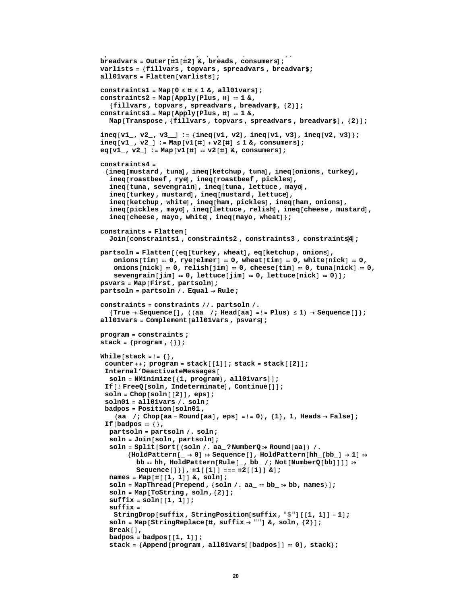```
breadvars = \text{Outer} [ \#1 [ \#2 ] &, breads, consumers];
varlists = 8fillvars , topvars , spreadvars , breadvars<;
all01vars = Flatten[variables]\text{constraints1} = \text{Map} \{0 \leq \text{\#} \leq 1 \text{ \&, all01vars} \}\text{constraints2} = \text{Map}[\text{Apply}[\text{Plus}, \text{\#}] = 1 \text{ %},8fillvars , topvars , spreadvars , breadvars<, 82<D;
constraints3 = Map@Apply@Plus, ðD  1 &,
  Map[Transpose, {fillvars, topvars, spreadvars, breadvar$], {2}];
ineq\begin{bmatrix} v1_{-}, v2_{-}, v3_{-} \end{bmatrix} := {ineq[v1, v2], ineq[v1, v3], ineq[v2, v3]};
ineq[ v1, v2] := Map[ v1[ # ] + v2[ # ] \le 1 &, constant consumers];
eq[vl_1, v_2] := Map[vl_1|]] = v2[#] &, consumers];
constraints4 =
 \{ ineq[mustard, tuna], ineq[ketchup, tuna], ineq[onions, turkey],
   ineq[roastbeef, rye], ineq[roastbeef, pickles],
  ineq[tuna, sevengrain], ineq[tuna, lettuce, mayo],
  ineq[turkey, mustard], ineq[mustard, lettuce],
  ineq@ketchup , whiteD, ineq@ham, picklesD, ineq@ham, onionsD,
  ineq[pickles, mayo], ineq[lettuce, relish], ineq[cheese, mustard],
   ineq[cheese, mayo, white], ineq[mayo, wheel];constraints = Flatten[
  Join[constraints1, constraints2, constraints3, constraints<sup>[4]</sup>];
partsoln = Flatten[{eq[turkey, wheat], eq[ketchup, onions],
    \text{onions}[\text{tim}] = 0, \text{rye}[\text{elmer}] = 0, wheat[\text{tim}] = 0, white[\text{nick}] = 0,
    \text{onions}[\text{nick}] = 0, \text{relish}[\text{jim}] = 0, \text{cheese}[\text{tim}] = 0, \text{tuna}[\text{nick}] = 0,
    {\bf s} evengrain{\bf j} im{\bf j} = 0, lettuce{\bf j} im{\bf j} = 0, lettuce{\bf n} inck{\bf j} = 0}
psvars = Map[First, partsoln];
partsoln = partsoln . Equal ® Rule;
constraints = constraints . partsoln .
   8True \rightarrow Sequence[], ((aa_/; Head[aa] =!= Plus) \leq 1) \rightarrow Sequence[]};
all01vars = Complement[all01vars, psvars];
program = constraints ;
stack = {program, {}}[White[stack = != {}]counter++; program = stack[[1]]; stack = stack[[2]];
 Internal'DeactivateMessages@
  soln = \text{Minimize}({1, \text{program}}, \text{all01vars});
 If [!FreeQ[soln, Indeterminate], Continue[]];
 soln = Chop[soln[[2]], eps];soln01 = all01vars . soln;
 badpos = Position[soln01,(aa /; Chop [aa - Round [aa], eps] = != 0), {1}, 1, Heads \rightarrow False];If@badpos  8<,
  partsoln = partsoln . soln;
  {\tt soln} = {\tt Join} <br> [soln, partsoln] ;
  soln = Split[Sort[ (soln / . aa ? NumberQ > Round[aa]) / .{H}{\text{oldPattern}}[{\text{b}}_1] \rightarrow 0] \Rightarrow \text{Sequence}[\text{]}, {\text{HoldPattern}}[{\text{hh}}_1] \rightarrow 1] \Rightarrow \text{Output}bb = hh, HoldPattern[Rule], bb_, bb_ ; Not[NumberQ[bb]]] \rightarrowSequence[] } ], \#1 [[1]] === \#2 [[1]] & ];
  name{ } $ = Map[ \#[[[1, 1]] &, soln];
  soln = MapThread[Prepend, {soln / . aa_ = bb_ → bb, names}];
  soln = Map[Tostring, soln, {2}];
  \text{suffix} = \text{soln} [1, 1];suffix =
    StringDrop@suffix , StringPosition@suffix , "$"D@@1, 1DD - 1D;
  \text{soln} = \text{Map}[\text{StringReplace}[\text{\#}, \text{suffix} \rightarrow \text{\#} \text{\#}]\&\text{, soln, } \{2\}\];Break<sup>[]</sup>,
  \text{badpos} = \text{badpos}[1, 1];
  stack = {Append [program, all01vars[[badpos]] = 0], stack};
```
**spreadvars = Outer@ð1@ð2D &, spreads , consumersD;**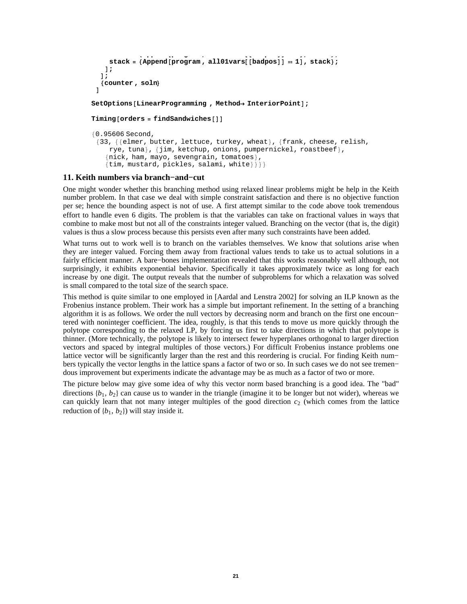```
stack = 8Append@program , all01vars@@badposDD  0D, stack<;
    stack = {Append [program , all01vars[[badpos]] = 1], stack};
   D;
  D;
  8counter , soln<
 D
SetOptions@LinearProgramming , Method® InteriorPointD;
Timing [orders = findSandwiches [] ]
80.95606 Second,
 {33, {{elmer, butter, lettuce, turkey, wheat}, {frank, cheese, relish,
    rye, tuna}, {jim, ketchup, onions, pumpernickel, roastbeef},
   \{nick, ham, mayo, several variables\},
```

```
\{\text{tim, mustard, pickles, salami, white}\}\
```
# **11. Keith numbers via branch−and−cut**

One might wonder whether this branching method using relaxed linear problems might be help in the Keith number problem. In that case we deal with simple constraint satisfaction and there is no objective function per se; hence the bounding aspect is not of use. A first attempt similar to the code above took tremendous effort to handle even 6 digits. The problem is that the variables can take on fractional values in ways that combine to make most but not all of the constraints integer valued. Branching on the vector (that is, the digit) values is thus a slow process because this persists even after many such constraints have been added.

What turns out to work well is to branch on the variables themselves. We know that solutions arise when they are integer valued. Forcing them away from fractional values tends to take us to actual solutions in a fairly efficient manner. A bare−bones implementation revealed that this works reasonably well although, not surprisingly, it exhibits exponential behavior. Specifically it takes approximately twice as long for each increase by one digit. The output reveals that the number of subproblems for which a relaxation was solved is small compared to the total size of the search space.

This method is quite similar to one employed in [Aardal and Lenstra 2002] for solving an ILP known as the Frobenius instance problem. Their work has a simple but important refinement. In the setting of a branching algorithm it is as follows. We order the null vectors by decreasing norm and branch on the first one encoun− tered with noninteger coefficient. The idea, roughly, is that this tends to move us more quickly through the polytope corresponding to the relaxed LP, by forcing us first to take directions in which that polytope is thinner. (More technically, the polytope is likely to intersect fewer hyperplanes orthogonal to larger direction vectors and spaced by integral multiples of those vectors.) For difficult Frobenius instance problems one lattice vector will be significantly larger than the rest and this reordering is crucial. For finding Keith num− bers typically the vector lengths in the lattice spans a factor of two or so. In such cases we do not see tremen− dous improvement but experiments indicate the advantage may be as much as a factor of two or more.

The picture below may give some idea of why this vector norm based branching is a good idea. The "bad" directions  $\{b_1, b_2\}$  can cause us to wander in the triangle (imagine it to be longer but not wider), whereas we can quickly learn that not many integer multiples of the good direction  $c_2$  (which comes from the lattice reduction of  $\{b_1, b_2\}$  will stay inside it.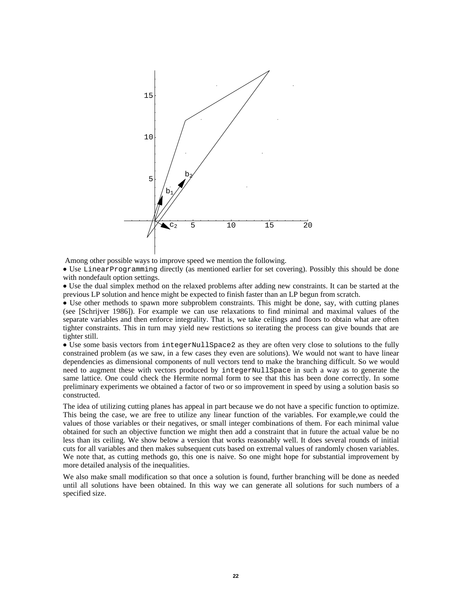

Among other possible ways to improve speed we mention the following.

è Use LinearProgramming directly (as mentioned earlier for set covering). Possibly this should be done with nondefault option settings.

è Use the dual simplex method on the relaxed problems after adding new constraints. It can be started at the previous LP solution and hence might be expected to finish faster than an LP begun from scratch.

è Use other methods to spawn more subproblem constraints. This might be done, say, with cutting planes (see [Schrijver 1986]). For example we can use relaxations to find minimal and maximal values of the separate variables and then enforce integrality. That is, we take ceilings and floors to obtain what are often tighter constraints. This in turn may yield new restictions so iterating the process can give bounds that are tighter still.

è Use some basis vectors from integerNullSpace2 as they are often very close to solutions to the fully constrained problem (as we saw, in a few cases they even are solutions). We would not want to have linear dependencies as dimensional components of null vectors tend to make the branching difficult. So we would need to augment these with vectors produced by integerNullSpace in such a way as to generate the same lattice. One could check the Hermite normal form to see that this has been done correctly. In some preliminary experiments we obtained a factor of two or so improvement in speed by using a solution basis so constructed.

The idea of utilizing cutting planes has appeal in part because we do not have a specific function to optimize. This being the case, we are free to utilize any linear function of the variables. For example,we could the values of those variables or their negatives, or small integer combinations of them. For each minimal value obtained for such an objective function we might then add a constraint that in future the actual value be no less than its ceiling. We show below a version that works reasonably well. It does several rounds of initial cuts for all variables and then makes subsequent cuts based on extremal values of randomly chosen variables. We note that, as cutting methods go, this one is naive. So one might hope for substantial improvement by more detailed analysis of the inequalities.

We also make small modification so that once a solution is found, further branching will be done as needed until all solutions have been obtained. In this way we can generate all solutions for such numbers of a specified size.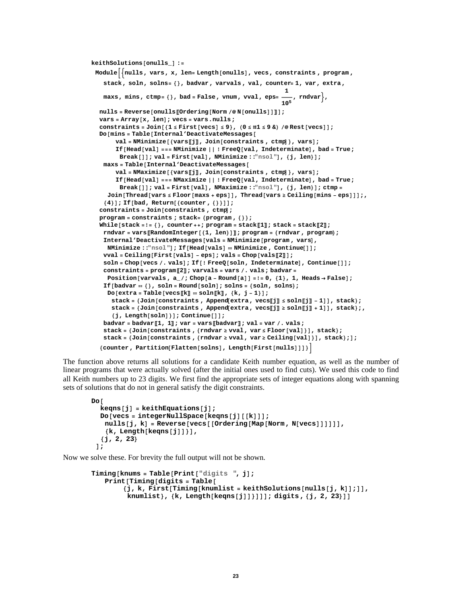```
keithSolutions@onulls_D :=
 ModuleB:nulls, vars, x, len= Length@onullsD, vecs, constraints , program ,
    stack, soln, solns= 8<, badvar , varvals , val, counter= 1, var, extra,
     maxs, mins, ctmp= 8<, bad = False, vnum, vval, eps=
1
                                                                       105
, rndvar>,
  \texttt{nulls = Reverse}[\texttt{onulus}[\texttt{Ordering}[\texttt{Norm}/@{\texttt{N}}[\texttt{onulus}]]]]vars = Array@x, lenD; vecs = vars.nulls;
   constraints = Join[{1 \leq First[vecs] \leq 9}, (0 \leq #1 \leq 9 \&) /@Rest[vecs]];
  Do@mins = Table@Internal'DeactivateMessages@
         val = Minimize [ \{vars[j], Join [constraints , ctmp ], vars ];
         If@Head@valD === NMinimize ÈÈ ! FreeQ@val, IndeterminateD, bad = True;
          Break<sup>[1]</sup>; val = First[val], NMinimize ::"nsol"], {j, len}];
    maxs = Table[Interval'DeactiveMessage]val = NMaximize [{vars[j], Join[constraints, ctmp]}, vars];
         If@Head@valD === NMaximize ÈÈ ! FreeQ@val, IndeterminateD, bad = True;
          Break[]]; val = First[val], NMaximize ::"nsol"], {j, len}]; ctmp =
     Join [Thread [vars \leq Floor [maxs + eps]], Thread [vars \geq Ceiling [mins - eps]]];
    {4}}]; If<sup>[bad, Return<sup>[{counter, {}}</sup>]];</sup>
   \cosh\left(\frac{\pi}{2}t\right) constraints , \sin\left(\frac{\pi}{2}t\right)program = constraints ; stack= 8program , 8<<;
   While[stack =!= {}, counter++; program = stack[1]]; stack = stack[2]];
    rndvar = vars [[RandomInteger [{1, len}]]]; program = {rndvar}, program};
    Internal'DeactivateMessages[vals = MMinimize [program, vars],
     NMinimize ::"nsol"D; If@Head@valsD  NMinimize , Continue@DD;
    \underline{\text{vval}} = \text{Ceiling}[\text{First}[{\text{vals}}] - \text{eps}]; \text{vals} = \text{Chop}[\text{vals}][2]]];\text{soln} = \text{Chop}[\text{vecs } / \cdot \text{vals}]; If[ ! \text{FreeQ}[\text{soln } , \text{ Indeterminate}], Continue[ ] ];
    constraints = programP2T; varvals = vars . vals; badvar=
     \text{Position}[\text{varvals, a}/\text{; Chop}[\text{a - Round}[\text{a}]] = ! = 0, {1}, {1}, \text{Heads} \rightarrow \text{False}];If@badvar  8<, soln = Round@solnD; solns = 8soln, solns<;
     Do[extra = Table[vecs[k] = soln[k], \{k, j - 1\}];
       \mathtt{stack} = \{\mathtt{Join}[\mathtt{constraints}\;,\;\mathtt{Append}[\mathtt{extra}\;,\;\mathtt{vecs}[\![\mathtt{j}]\!]\leq \mathtt{soln}[\![\mathtt{j}]\!]-1]\}\;,\;\mathtt{stack}\;;stack = {Join [constraints, Append extra, vecs \lceil j \rceil > soln \lceil j \rceil + 1 | |, stack };
       {\binom{3}{2}}, Length[soln] } ]; Continue[] ];
    badvar = badvarP1, 1T; var = varsPbadvarT; val = var . vals;
    stack = {Join[constraints, {rndvar ≥ vval, var ≤ Floor[val]}], stack};
    stack = \{Join[\text{constraints}, \{\text{rndvar} \geq \text{vval}, \text{var} \geq \text{Ceiling}[\text{val}]\}], stack};];
   { \texttt{Counter} } , Partition<sup>[Flatten</sup>[solns], Length[First[nulls]]]}
```
The function above returns all solutions for a candidate Keith number equation, as well as the number of linear programs that were actually solved (after the initial ones used to find cuts). We used this code to find all Keith numbers up to 23 digits. We first find the appropriate sets of integer equations along with spanning sets of solutions that do not in general satisfy the digit constraints.

```
Do@
  \text{keqns}[j] = \text{keithEquations}[j];Do[vecs = integernullSpace[keqns[j][[k]]];nulls[j, k] = Reverse[vecs][Ordering[Map[Norm, N[vecs]]]]]],
    \{k, \text{Length}[\text{keqns}[j]]\},
   8j, 2, 23<
 D;
```
Now we solve these. For brevity the full output will not be shown.

```
Timing@knums = Table@Print@"digits ", jD;
   Print [Timing [digits = Table [
         {j, k, \text{First}[\text{Timing}[\text{knownlist = keithSolutions}[\text{nulls}[j, k]], j]}knumlist<, 8k, Length@keqns@jDD<DDD; digits , 8j, 2, 23<DD
```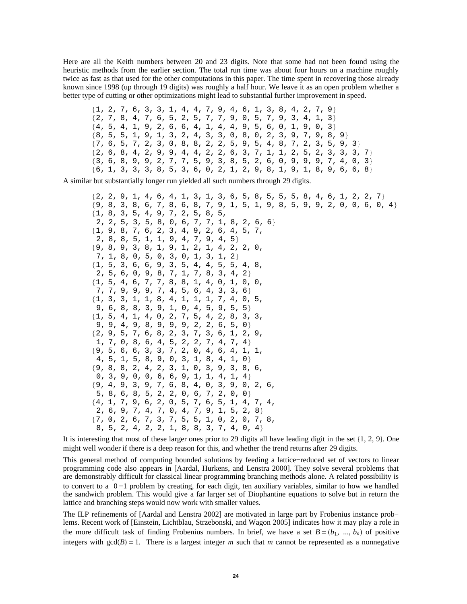Here are all the Keith numbers between 20 and 23 digits. Note that some had not been found using the heuristic methods from the earlier section. The total run time was about four hours on a machine roughly twice as fast as that used for the other computations in this paper. The time spent in recovering those already known since 1998 (up through 19 digits) was roughly a half hour. We leave it as an open problem whether a better type of cutting or other optimizations might lead to substantial further improvement in speed.

 ${1, 2, 7, 6, 3, 3, 1, 4, 4, 7, 9, 4, 6, 1, 3, 8, 4, 2, 7, 9}$  $\{2, 7, 8, 4, 7, 6, 5, 2, 5, 7, 7, 9, 0, 5, 7, 9, 3, 4, 1, 3\}$  $\{4, 5, 4, 1, 9, 2, 6, 6, 4, 1, 4, 4, 9, 5, 6, 0, 1, 9, 0, 3\}$  $\{8, 5, 5, 1, 9, 1, 3, 2, 4, 3, 3, 0, 8, 0, 2, 3, 9, 7, 9, 8, 9\}$  $\{7, 6, 5, 7, 2, 3, 0, 8, 8, 2, 2, 5, 9, 5, 4, 8, 7, 2, 3, 5, 9, 3\}$  $\{2, 6, 8, 4, 2, 9, 9, 4, 4, 2, 2, 6, 3, 7, 1, 1, 2, 5, 2, 3, 3, 3, 7\}$  $\{3, 6, 8, 9, 9, 2, 7, 7, 5, 9, 3, 8, 5, 2, 6, 0, 9, 9, 9, 7, 4, 0, 3\}$  ${6, 1, 3, 3, 3, 8, 5, 3, 6, 0, 2, 1, 2, 9, 8, 1, 9, 1, 8, 9, 6, 6, 8}$ 

A similar but substantially longer run yielded all such numbers through 29 digits.

 $\{2, 2, 9, 1, 4, 6, 4, 1, 3, 1, 3, 6, 5, 8, 5, 5, 5, 8, 4, 6, 1, 2, 2, 7\}$  $\{9, 8, 3, 8, 6, 7, 8, 6, 8, 7, 9, 1, 5, 1, 9, 8, 5, 9, 9, 2, 0, 0, 6, 0, 4\}$ 81, 8, 3, 5, 4, 9, 7, 2, 5, 8, 5, 2, 2, 5, 3, 5, 8, 0, 6, 7, 7, 1, 8, 2, 6, 6< 81, 9, 8, 7, 6, 2, 3, 4, 9, 2, 6, 4, 5, 7, 2, 8, 8, 5, 1, 1, 9, 4, 7, 9, 4, 5< 89, 8, 9, 3, 8, 1, 9, 1, 2, 1, 4, 2, 2, 0, 7, 1, 8, 0, 5, 0, 3, 0, 1, 3, 1, 2<  ${1, 5, 3, 6, 6, 9, 3, 5, 4, 4, 5, 5, 4, 8,}$ 2, 5, 6, 0, 9, 8, 7, 1, 7, 8, 3, 4, 2< 81, 5, 4, 6, 7, 7, 8, 8, 1, 4, 0, 1, 0, 0, 7, 7, 9, 9, 9, 7, 4, 5, 6, 4, 3, 3, 6< 81, 3, 3, 1, 1, 8, 4, 1, 1, 1, 7, 4, 0, 5, 9, 6, 8, 8, 3, 9, 1, 0, 4, 5, 9, 5, 5<  ${1, 5, 4, 1, 4, 0, 2, 7, 5, 4, 2, 8, 3, 3,$ 9, 9, 4, 9, 8, 9, 9, 9, 2, 2, 6, 5, 0<  ${2, 9, 5, 7, 6, 8, 2, 3, 7, 3, 6, 1, 2, 9,$ 1, 7, 0, 8, 6, 4, 5, 2, 2, 7, 4, 7, 4< 89, 5, 6, 6, 3, 3, 7, 2, 0, 4, 6, 4, 1, 1, 4, 5, 1, 5, 8, 9, 0, 3, 1, 8, 4, 1, 0< 89, 8, 8, 2, 4, 2, 3, 1, 0, 3, 9, 3, 8, 6, 0, 3, 9, 0, 0, 6, 6, 9, 1, 1, 4, 1, 4< 89, 4, 9, 3, 9, 7, 6, 8, 4, 0, 3, 9, 0, 2, 6, 5, 8, 6, 8, 5, 2, 2, 0, 6, 7, 2, 0, 0< 84, 1, 7, 9, 6, 2, 0, 5, 7, 6, 5, 1, 4, 7, 4, 2, 6, 9, 7, 4, 7, 0, 4, 7, 9, 1, 5, 2, 8< 87, 0, 2, 6, 7, 3, 7, 5, 5, 1, 0, 2, 0, 7, 8, 8, 5, 2, 4, 2, 2, 1, 8, 8, 3, 7, 4, 0, 4}

It is interesting that most of these larger ones prior to 29 digits all have leading digit in the set  $\{1, 2, 9\}$ . One might well wonder if there is a deep reason for this, and whether the trend returns after 29 digits.

This general method of computing bounded solutions by feeding a lattice−reduced set of vectors to linear programming code also appears in [Aardal, Hurkens, and Lenstra 2000]. They solve several problems that are demonstrably difficult for classical linear programming branching methods alone. A related possibility is to convert to a 0 −1 problem by creating, for each digit, ten auxiliary variables, similar to how we handled the sandwich problem. This would give a far larger set of Diophantine equations to solve but in return the lattice and branching steps would now work with smaller values.

The ILP refinements of [Aardal and Lenstra 2002] are motivated in large part by Frobenius instance prob− lems. Recent work of [Einstein, Lichtblau, Strzebonski, and Wagon 2005] indicates how it may play a role in the more difficult task of finding Frobenius numbers. In brief, we have a set  $B = (b_1, ..., b_n)$  of positive integers with  $gcd(B) = 1$ . There is a largest integer *m* such that *m* cannot be represented as a nonnegative

$$
B \qquad m \qquad m
$$

$$
B \hspace{4cm}
$$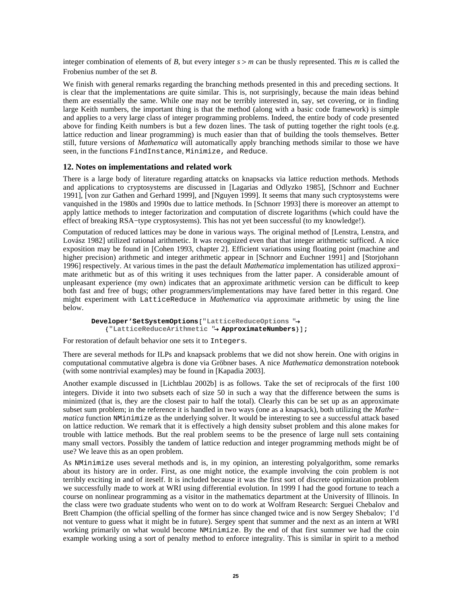$\left( \begin{array}{c} \end{array} \right)$ 

integer combination of elements of *B*, but every integer *s* > *m* can be thusly represented. This *m* is called the Frobenius number of the set *B*.

We finish with general remarks regarding the branching methods presented in this and preceding sections. It is clear that the implementations are quite similar. This is, not surprisingly, because the main ideas behind them are essentially the same. While one may not be terribly interested in, say, set covering, or in finding large Keith numbers, the important thing is that the method (along with a basic code framework) is simple and applies to a very large class of integer programming problems. Indeed, the entire body of code presented above for finding Keith numbers is but a few dozen lines. The task of putting together the right tools (e.g. lattice reduction and linear programming) is much easier than that of building the tools themselves. Better still, future versions of *Mathematica* will automatically apply branching methods similar to those we have seen, in the functions FindInstance, Minimize, and Reduce.

# **12. Notes on implementations and related work**

There is a large body of literature regarding attatcks on knapsacks via lattice reduction methods. Methods and applications to cryptosystems are discussed in [Lagarias and Odlyzko 1985], [Schnorr and Euchner 1991], [von zur Gathen and Gerhard 1999], and [Nguyen 1999]. It seems that many such cryptosystems were vanquished in the 1980s and 1990s due to lattice methods. In [Schnorr 1993] there is moreover an attempt to apply lattice methods to integer factorization and computation of discrete logarithms (which could have the effect of breaking RSA−type cryptosystems). This has not yet been successful (to my knowledge!).

Computation of reduced lattices may be done in various ways. The original method of [Lenstra, Lenstra, and Lovász 1982] utilized rational arithmetic. It was recognized even that that integer arithmetic sufficed. A nice exposition may be found in [Cohen 1993, chapter 2]. Efficient variations using floating point (machine and higher precision) arithmetic and integer arithmetic appear in [Schnorr and Euchner 1991] and [Storjohann 1996] respectively. At various times in the past the default *Mathematica* implementation has utilized approxi− mate arithmetic but as of this writing it uses techniques from the latter paper. A considerable amount of unpleasant experience (my own) indicates that an approximate arithmetic version can be difficult to keep both fast and free of bugs; other programmers/implementations may have fared better in this regard. One might experiment with LatticeReduce in *Mathematica* via approximate arithmetic by using the line below.

```
Developer'SetSystemOptions@"LatticeReduceOptions "®
   8"LatticeReduceArithmetic "® ApproximateNumbers<D;
```
For restoration of default behavior one sets it to Integers.

There are several methods for ILPs and knapsack problems that we did not show herein. One with origins in computational commutative algebra is done via Gröbner bases. A nice *Mathematica* demonstration notebook (with some nontrivial examples) may be found in [Kapadia 2003].

Another example discussed in [Lichtblau 2002b] is as follows. Take the set of reciprocals of the first 100 integers. Divide it into two subsets each of size 50 in such a way that the difference between the sums is minimized (that is, they are the closest pair to half the total). Clearly this can be set up as an approximate subset sum problem; in the reference it is handled in two ways (one as a knapsack), both utilizing the *Mathe− matica* function NMinimize as the underlying solver. It would be interesting to see a successful attack based on lattice reduction. We remark that it is effectively a high density subset problem and this alone makes for trouble with lattice methods. But the real problem seems to be the presence of large null sets containing many small vectors. Possibly the tandem of lattice reduction and integer programming methods might be of use? We leave this as an open problem.

As NMinimize uses several methods and is, in my opinion, an interesting polyalgorithm, some remarks about its history are in order. First, as one might notice, the example involving the coin problem is not terribly exciting in and of iteself. It is included because it was the first sort of discrete optimization problem we successfully made to work at WRI using differential evolution. In 1999 I had the good fortune to teach a course on nonlinear programming as a visitor in the mathematics department at the University of Illinois. In the class were two graduate students who went on to do work at Wolfram Research: Serguei Chebalov and Brett Champion (the official spelling of the former has since changed twice and is now Sergey Shebalov; I'd not venture to guess what it might be in future). Sergey spent that summer and the next as an intern at WRI working primarily on what would become NMinimize. By the end of that first summer we had the coin example working using a sort of penalty method to enforce integrality. This is similar in spirit to a method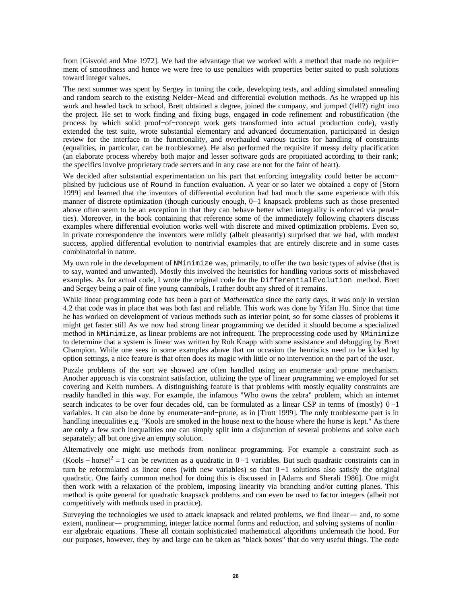from [Gisvold and Moe 1972]. We had the advantage that we worked with a method that made no require− ment of smoothness and hence we were free to use penalties with properties better suited to push solutions toward integer values.

The next summer was spent by Sergey in tuning the code, developing tests, and adding simulated annealing and random search to the existing Nelder−Mead and differential evolution methods. As he wrapped up his work and headed back to school, Brett obtained a degree, joined the company, and jumped (fell?) right into the project. He set to work finding and fixing bugs, engaged in code refinement and robustification (the process by which solid proof−of−concept work gets transformed into actual production code), vastly extended the test suite, wrote substantial elementary and advanced documentation, participated in design review for the interface to the functionality, and overhauled various tactics for handling of constraints (equalities, in particular, can be troublesome). He also performed the requisite if messy deity placification (an elaborate process whereby both major and lesser software gods are propitiated according to their rank; the specifics involve proprietary trade secrets and in any case are not for the faint of heart).

We decided after substantial experimentation on his part that enforcing integrality could better be accom− plished by judicious use of Round in function evaluation. A year or so later we obtained a copy of [Storn 1999] and learned that the inventors of differential evolution had had much the same experience with this manner of discrete optimization (though curiously enough, 0−1 knapsack problems such as those presented above often seem to be an exception in that they can behave better when integrality is enforced via penal− ties). Moreover, in the book containing that reference some of the immediately following chapters discuss examples where differential evolution works well with discrete and mixed optimization problems. Even so, in private correspondence the inventors were mildly (albeit pleasantly) surprised that we had, with modest success, applied differential evolution to nontrivial examples that are entirely discrete and in some cases combinatorial in nature.

My own role in the development of NMinimize was, primarily, to offer the two basic types of advise (that is to say, wanted and unwanted). Mostly this involved the heuristics for handling various sorts of missbehaved examples. As for actual code, I wrote the original code for the DifferentialEvolution method. Brett and Sergey being a pair of fine young cannibals, I rather doubt any shred of it remains.

While linear programming code has been a part of *Mathematica* since the early days, it was only in version 4.2 that code was in place that was both fast and reliable. This work was done by Yifan Hu. Since that time he has worked on development of various methods such as interior point, so for some classes of problems it might get faster still As we now had strong linear programming we decided it should become a specialized method in NMinimize, as linear problems are not infrequent. The preprocessing code used by NMinimize to determine that a system is linear was written by Rob Knapp with some assistance and debugging by Brett Champion. While one sees in some examples above that on occasion the heuristics need to be kicked by option settings, a nice feature is that often does its magic with little or no intervention on the part of the user.

Puzzle problems of the sort we showed are often handled using an enumerate−and−prune mechanism. Another approach is via constraint satisfaction, utilizing the type of linear programming we employed for set covering and Keith numbers. A distinguishing feature is that problems with mostly equality constraints are readily handled in this way. For example, the infamous "Who owns the zebra" problem, which an internet search indicates to be over four decades old, can be formulated as a linear CSP in terms of (mostly)  $0-1$ variables. It can also be done by enumerate−and−prune, as in [Trott 1999]. The only troublesome part is in handling inequalities e.g. "Kools are smoked in the house next to the house where the horse is kept." As there are only a few such inequalities one can simply split into a disjunction of several problems and solve each separately; all but one give an empty solution.

Alternatively one might use methods from nonlinear programming. For example a constraint such as  $(Kools - horse)^2 = 1$  can be rewritten as a quadratic in 0 −1 variables. But such quadratic constraints can in turn be reformulated as linear ones (with new variables) so that 0 −1 solutions also satisfy the original quadratic. One fairly common method for doing this is discussed in [Adams and Sherali 1986]. One might then work with a relaxation of the problem, imposing linearity via branching and/or cutting planes. This method is quite general for quadratic knapsack problems and can even be used to factor integers (albeit not competitively with methods used in practice).

Surveying the technologies we used to attack knapsack and related problems, we find linear— and, to some extent, nonlinear— programming, integer lattice normal forms and reduction, and solving systems of nonlin− ear algebraic equations. These all contain sophisticated mathematical algorithms underneath the hood. For our purposes, however, they by and large can be taken as "black boxes" that do very useful things. The code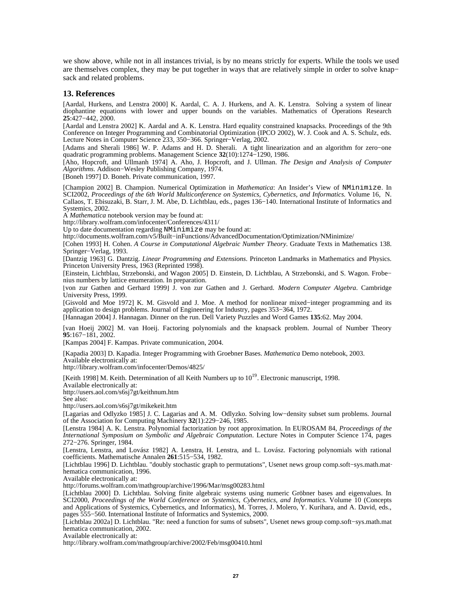we show above, while not in all instances trivial, is by no means strictly for experts. While the tools we used are themselves complex, they may be put together in ways that are relatively simple in order to solve knap− sack and related problems.

#### **13. References**

[Aardal, Hurkens, and Lenstra 2000] K. Aardal, C. A. J. Hurkens, and A. K. Lenstra. Solving a system of linear diophantine equations with lower and upper bounds on the variables. Mathematics of Operations Research **25**:427−442, 2000.

[Aardal and Lenstra 2002] K. Aardal and A. K. Lenstra. Hard equality constrained knapsacks. Proceedings of the 9th Conference on Integer Programming and Combinatorial Optimization (IPCO 2002), W. J. Cook and A. S. Schulz, eds. Lecture Notes in Computer Science 233, 350−366. Springer−Verlag, 2002.

[Adams and Sherali 1986] W. P. Adams and H. D. Sherali. A tight linearization and an algorithm for zero−one quadratic programming problems. Management Science **32**(10):1274−1290, 1986.

[Aho, Hopcroft, and Ullmanh 1974] A. Aho, J. Hopcroft, and J. Ullman. *The Design and Analysis of Computer Algorithms*. Addison−Wesley Publishing Company, 1974.

[Boneh 1997] D. Boneh. Private communication, 1997.

[Champion 2002] B. Champion. Numerical Optimization in *Mathematica*: An Insider's View of NMinimize. In SCI2002, *Proceedings of the 6th World Multiconference on Systemics, Cybernetics, and Informatics*. Volume 16, N. Callaos, T. Ebisuzaki, B. Starr, J. M. Abe, D. Lichtblau, eds., pages 136−140. International Institute of Informatics and Systemics, 2002.

A *Mathematica* notebook version may be found at:

http://library.wolfram.com/infocenter/Conferences/4311/

Up to date documentation regarding NMinimize may be found at:

http://documents.wolfram.com/v5/Built−inFunctions/AdvancedDocumentation/Optimization/NMinimize/

[Cohen 1993] H. Cohen. *A Course in Computational Algebraic Number Theory*. Graduate Texts in Mathematics 138. Springer−Verlag, 1993.

[Dantzig 1963] G. Dantzig. *Linear Programming and Extensions*. Princeton Landmarks in Mathematics and Physics. Princeton University Press, 1963 (Reprinted 1998).

[Einstein, Lichtblau, Strzebonski, and Wagon 2005] D. Einstein, D. Lichtblau, A Strzebonski, and S. Wagon. Frobe− nius numbers by lattice enumeration. In preparation.

[von zur Gathen and Gerhard 1999] J. von zur Gathen and J. Gerhard. *Modern Computer Algebra*. Cambridge University Press, 1999.

[Gisvold and Moe 1972] K. M. Gisvold and J. Moe. A method for nonlinear mixed−integer programming and its application to design problems. Journal of Engineering for Industry, pages 353−364, 1972.

[Hannagan 2004] J. Hannagan. Dinner on the run. Dell Variety Puzzles and Word Games **135**:62. May 2004.

[van Hoeij 2002] M. van Hoeij. Factoring polynomials and the knapsack problem. Journal of Number Theory **95**:167−181, 2002.

[Kampas 2004] F. Kampas. Private communication, 2004.

[Kapadia 2003] D. Kapadia. Integer Programming with Groebner Bases. *Mathematica* Demo notebook, 2003. Available electronically at:

http://library.wolfram.com/infocenter/Demos/4825/

[Keith 1998] M. Keith. Determination of all Keith Numbers up to  $10^{19}$ . Electronic manuscript. 1998.

Available electronically at:

http://users.aol.com/s6sj7gt/keithnum.htm

See also:

http://users.aol.com/s6sj7gt/mikekeit.htm

[Lagarias and Odlyzko 1985] J. C. Lagarias and A. M. Odlyzko. Solving low−density subset sum problems. Journal of the Association for Computing Machinery **32**(1):229−246, 1985.

[Lenstra 1984] A. K. Lenstra. Polynomial factorization by root approximation. In EUROSAM 84, *Proceedings of the International Symposium on Symbolic and Algebraic Computation*. Lecture Notes in Computer Science 174, pages 272−276. Springer, 1984.

[Lenstra, Lenstra, and Lovász 1982] A. Lenstra, H. Lenstra, and L. Lovász. Factoring polynomials with rational coefficients. Mathematische Annalen **261**:515−534, 1982.

[Lichtblau 1996] D. Lichtblau. "doubly stochastic graph to permutations", Usenet news group comp.soft−sys.math.mat− hematica communication, 1996.

Available electronically at:

http://forums.wolfram.com/mathgroup/archive/1996/Mar/msg00283.html

[Lichtblau 2000] D. Lichtblau. Solving finite algebraic systems using numeric Gröbner bases and eigenvalues. In SCI2000, *Proceedings of the World Conference on Systemics, Cybernetics, and Informatics*. Volume 10 (Concepts and Applications of Systemics, Cybernetics, and Informatics), M. Torres, J. Molero, Y. Kurihara, and A. David, eds., pages 555−560. International Institute of Informatics and Systemics, 2000.

[Lichtblau 2002a] D. Lichtblau. "Re: need a function for sums of subsets", Usenet news group comp.soft−sys.math.mat− hematica communication, 2002.

Available electronically at:

http://library.wolfram.com/mathgroup/archive/2002/Feb/msg00410.html